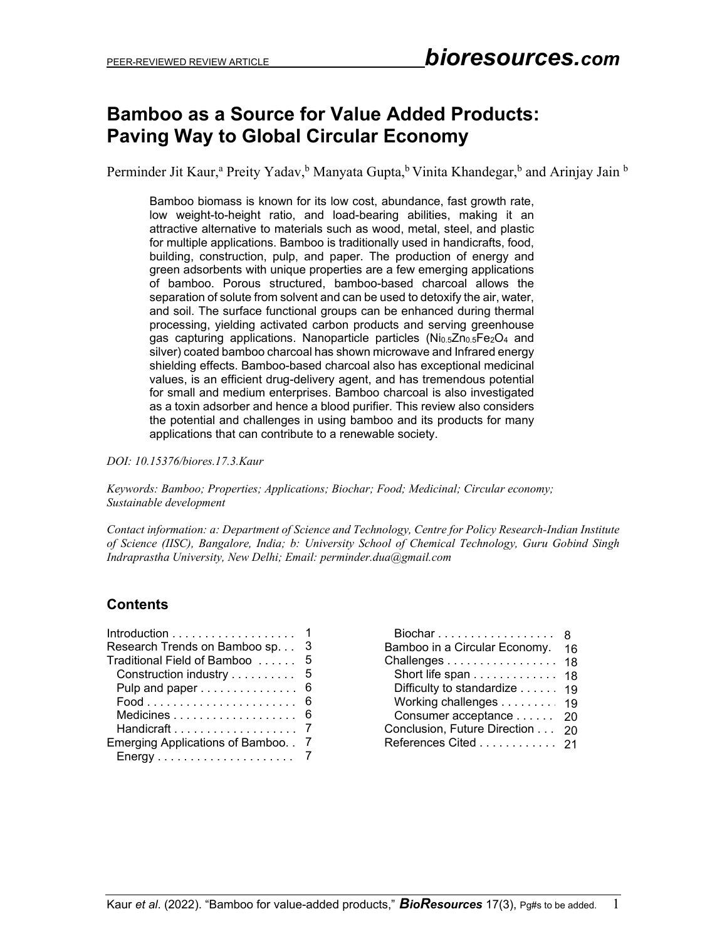# **Bamboo as a Source for Value Added Products: Paving Way to Global Circular Economy**

Perminder Jit Kaur,<sup>a</sup> Preity Yadav,<sup>b</sup> Manyata Gupta,<sup>b</sup> Vinita Khandegar,<sup>b</sup> and Arinjay Jain <sup>b</sup>

Bamboo biomass is known for its low cost, abundance, fast growth rate, low weight-to-height ratio, and load-bearing abilities, making it an attractive alternative to materials such as wood, metal, steel, and plastic for multiple applications. Bamboo is traditionally used in handicrafts, food, building, construction, pulp, and paper. The production of energy and green adsorbents with unique properties are a few emerging applications of bamboo. Porous structured, bamboo-based charcoal allows the separation of solute from solvent and can be used to detoxify the air, water, and soil. The surface functional groups can be enhanced during thermal processing, yielding activated carbon products and serving greenhouse gas capturing applications. Nanoparticle particles ( $N_{0.5}Zn_{0.5}Fe<sub>2</sub>O<sub>4</sub>$  and silver) coated bamboo charcoal has shown microwave and Infrared energy shielding effects. Bamboo-based charcoal also has exceptional medicinal values, is an efficient drug-delivery agent, and has tremendous potential for small and medium enterprises. Bamboo charcoal is also investigated as a toxin adsorber and hence a blood purifier. This review also considers the potential and challenges in using bamboo and its products for many applications that can contribute to a renewable society.

*DOI: 10.15376/biores.17.3.Kaur*

*Keywords: Bamboo; Properties; Applications; Biochar; Food; Medicinal; Circular economy; Sustainable development*

*Contact information: a: Department of Science and Technology, Centre for Policy Research-Indian Institute of Science (IISC), Bangalore, India; b: University School of Chemical Technology, Guru Gobind Singh Indraprastha University, New Delhi; Email: perminder.dua@gmail.com*

## **Contents**

| Research Trends on Bamboo sp.   | 3              |
|---------------------------------|----------------|
| Traditional Field of Bamboo     | 5              |
| Construction industry           | 5              |
| Pulp and paper                  | 6              |
|                                 | 6              |
|                                 | 6              |
|                                 |                |
| Emerging Applications of Bamboo | $\overline{7}$ |
|                                 |                |

| Biochar                       | 8  |
|-------------------------------|----|
| Bamboo in a Circular Economy. | 16 |
| Challenges 18                 |    |
| Short life span               | 18 |
| Difficulty to standardize     | 19 |
| Working challenges 19         |    |
| Consumer acceptance 20        |    |
| Conclusion, Future Direction  | 20 |
| References Cited 21           |    |
|                               |    |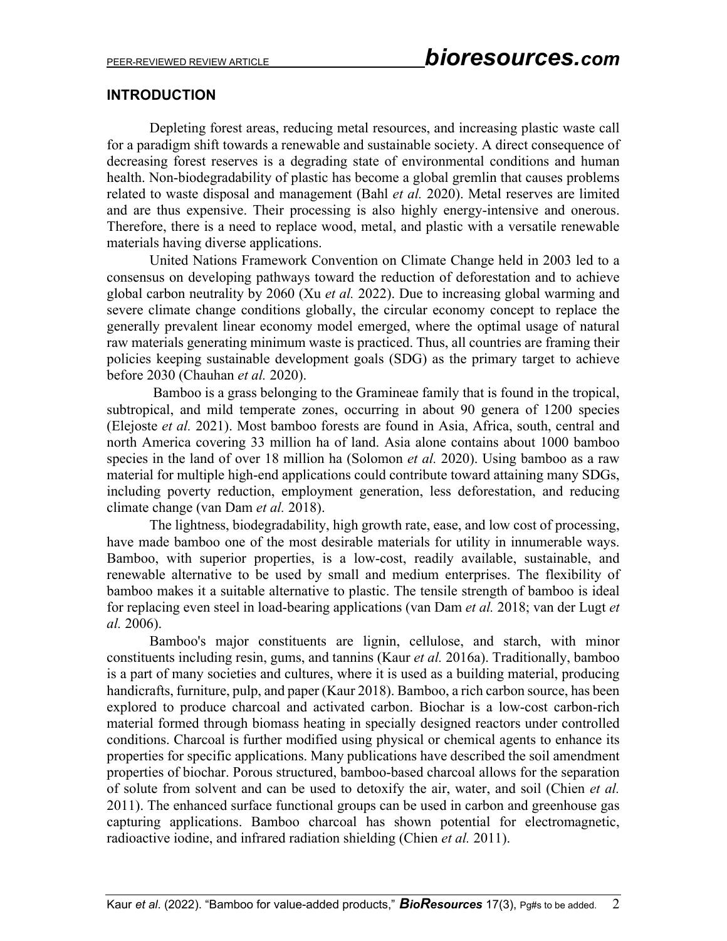## **INTRODUCTION**

Depleting forest areas, reducing metal resources, and increasing plastic waste call for a paradigm shift towards a renewable and sustainable society. A direct consequence of decreasing forest reserves is a degrading state of environmental conditions and human health. Non-biodegradability of plastic has become a global gremlin that causes problems related to waste disposal and management (Bahl *et al.* 2020). Metal reserves are limited and are thus expensive. Their processing is also highly energy-intensive and onerous. Therefore, there is a need to replace wood, metal, and plastic with a versatile renewable materials having diverse applications.

United Nations Framework Convention on Climate Change held in 2003 led to a consensus on developing pathways toward the reduction of deforestation and to achieve global carbon neutrality by 2060 (Xu *et al.* 2022). Due to increasing global warming and severe climate change conditions globally, the circular economy concept to replace the generally prevalent linear economy model emerged, where the optimal usage of natural raw materials generating minimum waste is practiced. Thus, all countries are framing their policies keeping sustainable development goals (SDG) as the primary target to achieve before 2030 (Chauhan *et al.* 2020).

 Bamboo is a grass belonging to the Gramineae family that is found in the tropical, subtropical, and mild temperate zones, occurring in about 90 genera of 1200 species (Elejoste *et al.* 2021). Most bamboo forests are found in Asia, Africa, south, central and north America covering 33 million ha of land. Asia alone contains about 1000 bamboo species in the land of over 18 million ha (Solomon *et al.* 2020). Using bamboo as a raw material for multiple high-end applications could contribute toward attaining many SDGs, including poverty reduction, employment generation, less deforestation, and reducing climate change (van Dam *et al.* 2018).

The lightness, biodegradability, high growth rate, ease, and low cost of processing, have made bamboo one of the most desirable materials for utility in innumerable ways. Bamboo, with superior properties, is a low-cost, readily available, sustainable, and renewable alternative to be used by small and medium enterprises. The flexibility of bamboo makes it a suitable alternative to plastic. The tensile strength of bamboo is ideal for replacing even steel in load-bearing applications (van Dam *et al.* 2018; van der Lugt *et al.* 2006).

Bamboo's major constituents are lignin, cellulose, and starch, with minor constituents including resin, gums, and tannins (Kaur *et al.* 2016a). Traditionally, bamboo is a part of many societies and cultures, where it is used as a building material, producing handicrafts, furniture, pulp, and paper (Kaur 2018). Bamboo, a rich carbon source, has been explored to produce charcoal and activated carbon. Biochar is a low-cost carbon-rich material formed through biomass heating in specially designed reactors under controlled conditions. Charcoal is further modified using physical or chemical agents to enhance its properties for specific applications. Many publications have described the soil amendment properties of biochar. Porous structured, bamboo-based charcoal allows for the separation of solute from solvent and can be used to detoxify the air, water, and soil (Chien *et al.* 2011). The enhanced surface functional groups can be used in carbon and greenhouse gas capturing applications. Bamboo charcoal has shown potential for electromagnetic, radioactive iodine, and infrared radiation shielding (Chien *et al.* 2011).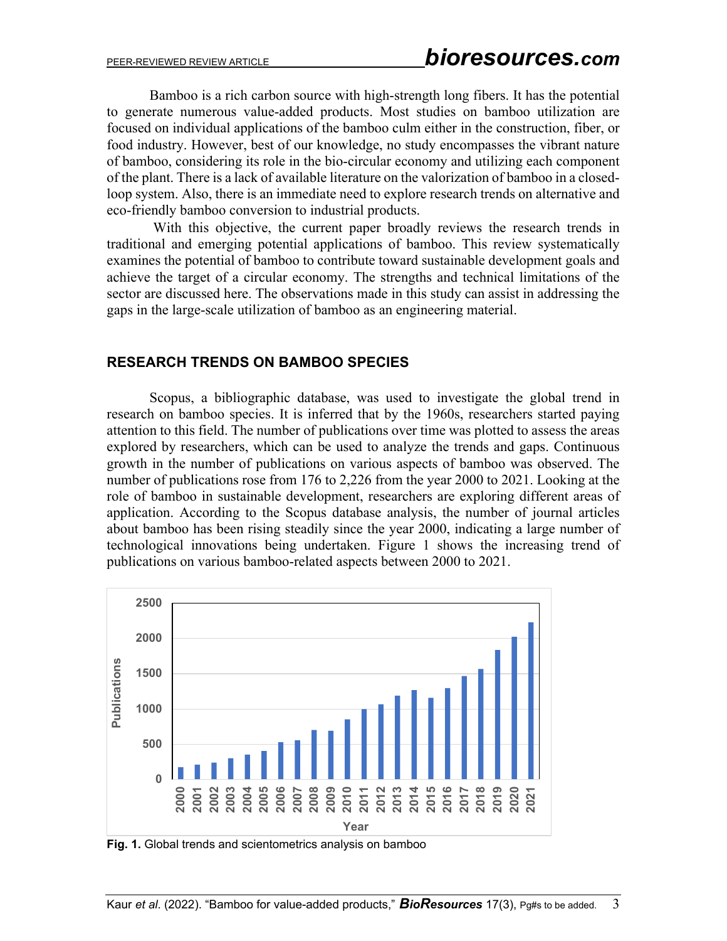Bamboo is a rich carbon source with high-strength long fibers. It has the potential to generate numerous value-added products. Most studies on bamboo utilization are focused on individual applications of the bamboo culm either in the construction, fiber, or food industry. However, best of our knowledge, no study encompasses the vibrant nature of bamboo, considering its role in the bio-circular economy and utilizing each component of the plant. There is a lack of available literature on the valorization of bamboo in a closedloop system. Also, there is an immediate need to explore research trends on alternative and eco-friendly bamboo conversion to industrial products.

With this objective, the current paper broadly reviews the research trends in traditional and emerging potential applications of bamboo. This review systematically examines the potential of bamboo to contribute toward sustainable development goals and achieve the target of a circular economy. The strengths and technical limitations of the sector are discussed here. The observations made in this study can assist in addressing the gaps in the large-scale utilization of bamboo as an engineering material.

## **RESEARCH TRENDS ON BAMBOO SPECIES**

Scopus, a bibliographic database, was used to investigate the global trend in research on bamboo species. It is inferred that by the 1960s, researchers started paying attention to this field. The number of publications over time was plotted to assess the areas explored by researchers, which can be used to analyze the trends and gaps. Continuous growth in the number of publications on various aspects of bamboo was observed. The number of publications rose from 176 to 2,226 from the year 2000 to 2021. Looking at the role of bamboo in sustainable development, researchers are exploring different areas of application. According to the Scopus database analysis, the number of journal articles about bamboo has been rising steadily since the year 2000, indicating a large number of technological innovations being undertaken. Figure 1 shows the increasing trend of publications on various bamboo-related aspects between 2000 to 2021.



**Fig. 1.** Global trends and scientometrics analysis on bamboo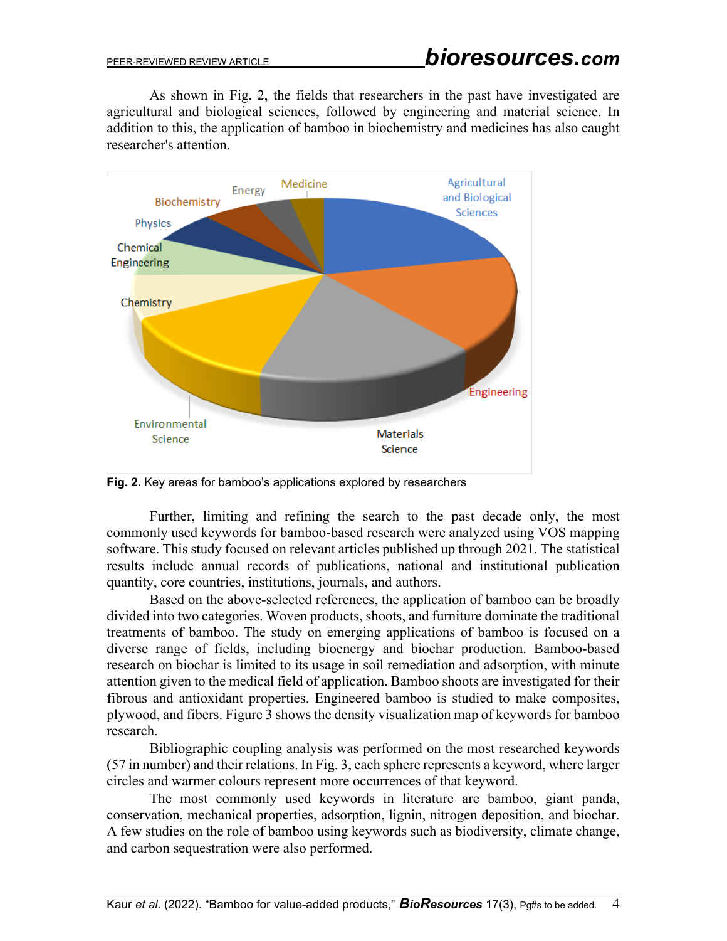As shown in Fig. 2, the fields that researchers in the past have investigated are agricultural and biological sciences, followed by engineering and material science. In addition to this, the application of bamboo in biochemistry and medicines has also caught researcher's attention.



**Fig. 2.** Key areas for bamboo's applications explored by researchers

Further, limiting and refining the search to the past decade only, the most commonly used keywords for bamboo-based research were analyzed using VOS mapping software. This study focused on relevant articles published up through 2021. The statistical results include annual records of publications, national and institutional publication quantity, core countries, institutions, journals, and authors.

Based on the above-selected references, the application of bamboo can be broadly divided into two categories. Woven products, shoots, and furniture dominate the traditional treatments of bamboo. The study on emerging applications of bamboo is focused on a diverse range of fields, including bioenergy and biochar production. Bamboo-based research on biochar is limited to its usage in soil remediation and adsorption, with minute attention given to the medical field of application. Bamboo shoots are investigated for their fibrous and antioxidant properties. Engineered bamboo is studied to make composites, plywood, and fibers. Figure 3 shows the density visualization map of keywords for bamboo research.

Bibliographic coupling analysis was performed on the most researched keywords (57 in number) and their relations. In Fig. 3, each sphere represents a keyword, where larger circles and warmer colours represent more occurrences of that keyword.

The most commonly used keywords in literature are bamboo, giant panda, conservation, mechanical properties, adsorption, lignin, nitrogen deposition, and biochar. A few studies on the role of bamboo using keywords such as biodiversity, climate change, and carbon sequestration were also performed.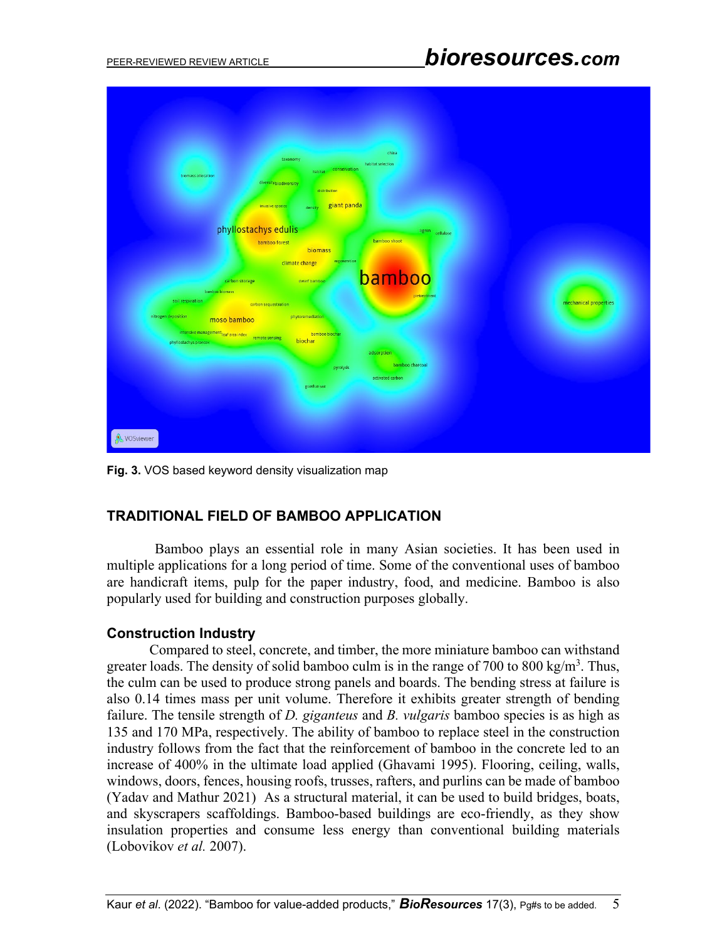| china<br>taxonomy<br>habitat selection                                                                       |  |
|--------------------------------------------------------------------------------------------------------------|--|
| conservation<br>habitat<br>biomass allocation                                                                |  |
| diversitybiodiversity                                                                                        |  |
| distribution                                                                                                 |  |
| giant panda<br>invasive species<br>density                                                                   |  |
|                                                                                                              |  |
| phyllostachys edulis<br>lignin cellulose<br>bamboo shoot                                                     |  |
| bamboo forest<br>biomass                                                                                     |  |
| regeneration<br>climate change                                                                               |  |
| bamboo                                                                                                       |  |
| carbon storage<br>dwarf bamboo<br>bamboo biomass                                                             |  |
| pretreatment<br>soil respiration<br>mechanical properties<br>carbon sequestration                            |  |
| nitrogen deposition<br>phytoremediation                                                                      |  |
| moso bamboo                                                                                                  |  |
| intensive management leaf area index<br>bamboo biochar<br>remote sensing<br>biochar<br>phyllostachys praecox |  |
| adsorption                                                                                                   |  |
| bamboo charcoal<br>pyrolysis                                                                                 |  |
| activated carbon                                                                                             |  |
| guadua soil                                                                                                  |  |
|                                                                                                              |  |
|                                                                                                              |  |
|                                                                                                              |  |
| <b>&amp; VOSviewer</b>                                                                                       |  |

**Fig. 3.** VOS based keyword density visualization map

## **TRADITIONAL FIELD OF BAMBOO APPLICATION**

 Bamboo plays an essential role in many Asian societies. It has been used in multiple applications for a long period of time. Some of the conventional uses of bamboo are handicraft items, pulp for the paper industry, food, and medicine. Bamboo is also popularly used for building and construction purposes globally.

#### **Construction Industry**

Compared to steel, concrete, and timber, the more miniature bamboo can withstand greater loads. The density of solid bamboo culm is in the range of 700 to 800 kg/m<sup>3</sup>. Thus, the culm can be used to produce strong panels and boards. The bending stress at failure is also 0.14 times mass per unit volume. Therefore it exhibits greater strength of bending failure. The tensile strength of *D. giganteus* and *B. vulgaris* bamboo species is as high as 135 and 170 MPa, respectively. The ability of bamboo to replace steel in the construction industry follows from the fact that the reinforcement of bamboo in the concrete led to an increase of 400% in the ultimate load applied (Ghavami 1995). Flooring, ceiling, walls, windows, doors, fences, housing roofs, trusses, rafters, and purlins can be made of bamboo (Yadav and Mathur 2021) As a structural material, it can be used to build bridges, boats, and skyscrapers scaffoldings. Bamboo-based buildings are eco-friendly, as they show insulation properties and consume less energy than conventional building materials (Lobovikov *et al.* 2007).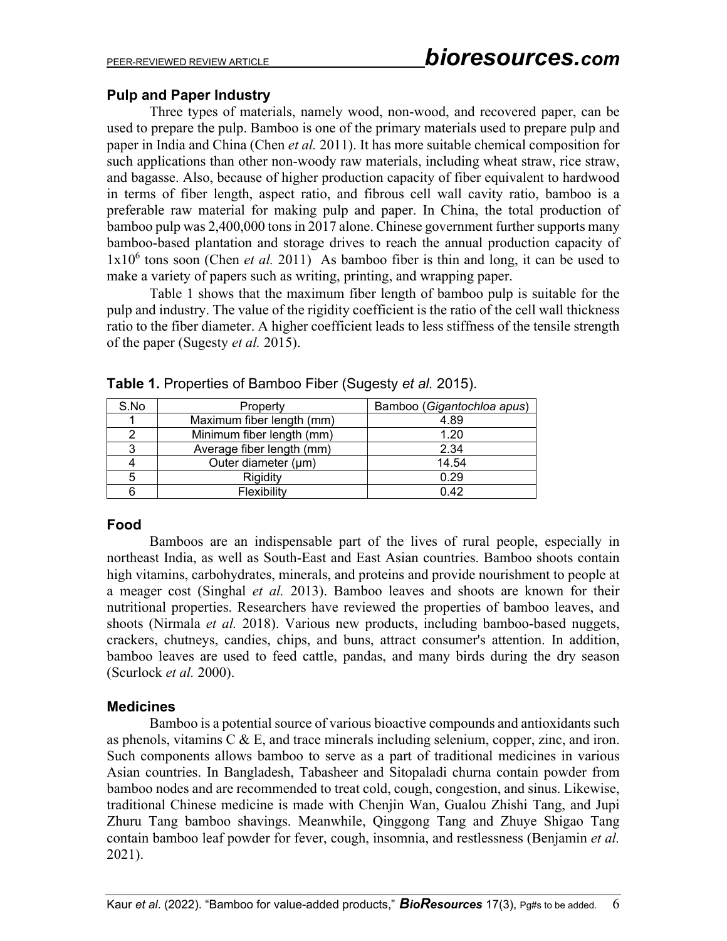## **Pulp and Paper Industry**

Three types of materials, namely wood, non-wood, and recovered paper, can be used to prepare the pulp. Bamboo is one of the primary materials used to prepare pulp and paper in India and China (Chen *et al.* 2011). It has more suitable chemical composition for such applications than other non-woody raw materials, including wheat straw, rice straw, and bagasse. Also, because of higher production capacity of fiber equivalent to hardwood in terms of fiber length, aspect ratio, and fibrous cell wall cavity ratio, bamboo is a preferable raw material for making pulp and paper. In China, the total production of bamboo pulp was 2,400,000 tons in 2017 alone. Chinese government further supports many bamboo-based plantation and storage drives to reach the annual production capacity of  $1x10<sup>6</sup>$  tons soon (Chen *et al.* 2011) As bamboo fiber is thin and long, it can be used to make a variety of papers such as writing, printing, and wrapping paper.

Table 1 shows that the maximum fiber length of bamboo pulp is suitable for the pulp and industry. The value of the rigidity coefficient is the ratio of the cell wall thickness ratio to the fiber diameter. A higher coefficient leads to less stiffness of the tensile strength of the paper (Sugesty *et al.* 2015).

| S.No | Property                  | Bamboo (Gigantochloa apus) |
|------|---------------------------|----------------------------|
|      | Maximum fiber length (mm) | 4.89                       |
|      | Minimum fiber length (mm) | 1.20                       |
| 3    | Average fiber length (mm) | 2.34                       |
|      | Outer diameter (µm)       | 14.54                      |
| 5    | Rigidity                  | 0.29                       |
|      | Flexibility               | 0.42                       |

**Table 1.** Properties of Bamboo Fiber (Sugesty *et al.* 2015).

#### **Food**

Bamboos are an indispensable part of the lives of rural people, especially in northeast India, as well as South-East and East Asian countries. Bamboo shoots contain high vitamins, carbohydrates, minerals, and proteins and provide nourishment to people at a meager cost (Singhal *et al.* 2013). Bamboo leaves and shoots are known for their nutritional properties. Researchers have reviewed the properties of bamboo leaves, and shoots (Nirmala *et al.* 2018). Various new products, including bamboo-based nuggets, crackers, chutneys, candies, chips, and buns, attract consumer's attention. In addition, bamboo leaves are used to feed cattle, pandas, and many birds during the dry season (Scurlock *et al.* 2000).

## **Medicines**

Bamboo is a potential source of various bioactive compounds and antioxidants such as phenols, vitamins C & E, and trace minerals including selenium, copper, zinc, and iron. Such components allows bamboo to serve as a part of traditional medicines in various Asian countries. In Bangladesh, Tabasheer and Sitopaladi churna contain powder from bamboo nodes and are recommended to treat cold, cough, congestion, and sinus. Likewise, traditional Chinese medicine is made with Chenjin Wan, Gualou Zhishi Tang, and Jupi Zhuru Tang bamboo shavings. Meanwhile, Qinggong Tang and Zhuye Shigao Tang contain bamboo leaf powder for fever, cough, insomnia, and restlessness (Benjamin *et al.* 2021).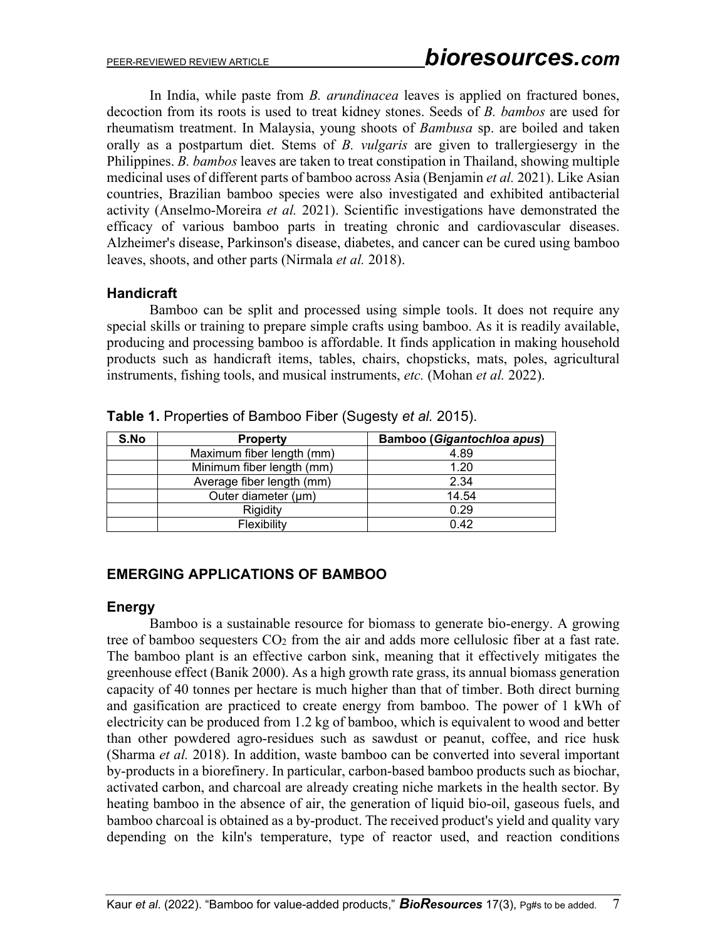In India, while paste from *B. arundinacea* leaves is applied on fractured bones, decoction from its roots is used to treat kidney stones. Seeds of *B. bambos* are used for rheumatism treatment. In Malaysia, young shoots of *Bambusa* sp. are boiled and taken orally as a postpartum diet. Stems of *B. vulgaris* are given to trallergiesergy in the Philippines. *B. bambos* leaves are taken to treat constipation in Thailand, showing multiple medicinal uses of different parts of bamboo across Asia (Benjamin *et al.* 2021). Like Asian countries, Brazilian bamboo species were also investigated and exhibited antibacterial activity (Anselmo-Moreira *et al.* 2021). Scientific investigations have demonstrated the efficacy of various bamboo parts in treating chronic and cardiovascular diseases. Alzheimer's disease, Parkinson's disease, diabetes, and cancer can be cured using bamboo leaves, shoots, and other parts (Nirmala *et al.* 2018).

## **Handicraft**

Bamboo can be split and processed using simple tools. It does not require any special skills or training to prepare simple crafts using bamboo. As it is readily available, producing and processing bamboo is affordable. It finds application in making household products such as handicraft items, tables, chairs, chopsticks, mats, poles, agricultural instruments, fishing tools, and musical instruments, *etc.* (Mohan *et al.* 2022).

| S.No | <b>Property</b>           | <b>Bamboo (Gigantochloa apus)</b> |
|------|---------------------------|-----------------------------------|
|      | Maximum fiber length (mm) | 4.89                              |
|      | Minimum fiber length (mm) | 1.20                              |
|      | Average fiber length (mm) | 2.34                              |
|      | Outer diameter (µm)       | 14.54                             |
|      | Rigidity                  | 0.29                              |
|      | Flexibility               | 0.42                              |

**Table 1.** Properties of Bamboo Fiber (Sugesty *et al.* 2015).

## **EMERGING APPLICATIONS OF BAMBOO**

## **Energy**

Bamboo is a sustainable resource for biomass to generate bio-energy. A growing tree of bamboo sequesters CO<sub>2</sub> from the air and adds more cellulosic fiber at a fast rate. The bamboo plant is an effective carbon sink, meaning that it effectively mitigates the greenhouse effect (Banik 2000). As a high growth rate grass, its annual biomass generation capacity of 40 tonnes per hectare is much higher than that of timber. Both direct burning and gasification are practiced to create energy from bamboo. The power of 1 kWh of electricity can be produced from 1.2 kg of bamboo, which is equivalent to wood and better than other powdered agro-residues such as sawdust or peanut, coffee, and rice husk (Sharma *et al.* 2018). In addition, waste bamboo can be converted into several important by-products in a biorefinery. In particular, carbon-based bamboo products such as biochar, activated carbon, and charcoal are already creating niche markets in the health sector. By heating bamboo in the absence of air, the generation of liquid bio-oil, gaseous fuels, and bamboo charcoal is obtained as a by-product. The received product's yield and quality vary depending on the kiln's temperature, type of reactor used, and reaction conditions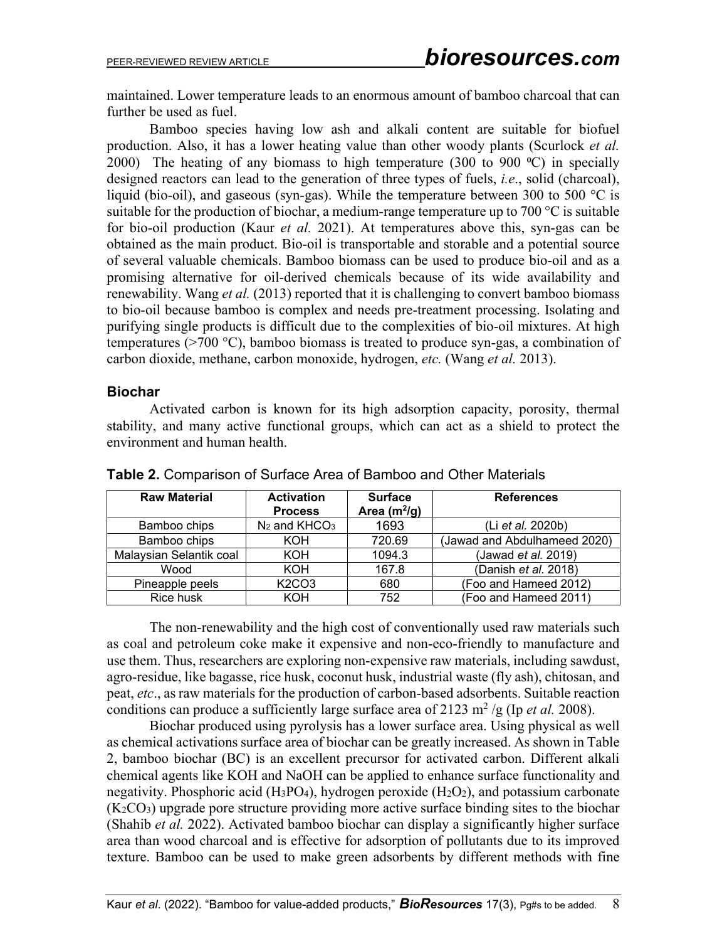maintained. Lower temperature leads to an enormous amount of bamboo charcoal that can further be used as fuel.

Bamboo species having low ash and alkali content are suitable for biofuel production. Also, it has a lower heating value than other woody plants (Scurlock *et al.* 2000) The heating of any biomass to high temperature (300 to 900  $\degree$ C) in specially designed reactors can lead to the generation of three types of fuels, *i.e*., solid (charcoal), liquid (bio-oil), and gaseous (syn-gas). While the temperature between 300 to 500 °C is suitable for the production of biochar, a medium-range temperature up to 700  $\degree$ C is suitable for bio-oil production (Kaur *et al.* 2021). At temperatures above this, syn-gas can be obtained as the main product. Bio-oil is transportable and storable and a potential source of several valuable chemicals. Bamboo biomass can be used to produce bio-oil and as a promising alternative for oil-derived chemicals because of its wide availability and renewability. Wang *et al.* (2013) reported that it is challenging to convert bamboo biomass to bio-oil because bamboo is complex and needs pre-treatment processing. Isolating and purifying single products is difficult due to the complexities of bio-oil mixtures. At high temperatures ( $>700$  °C), bamboo biomass is treated to produce syn-gas, a combination of carbon dioxide, methane, carbon monoxide, hydrogen, *etc.* (Wang *et al.* 2013).

## **Biochar**

Activated carbon is known for its high adsorption capacity, porosity, thermal stability, and many active functional groups, which can act as a shield to protect the environment and human health.

| <b>Raw Material</b>     | <b>Activation</b><br><b>Process</b> | <b>Surface</b><br>Area $(m^2/g)$ | <b>References</b>            |  |
|-------------------------|-------------------------------------|----------------------------------|------------------------------|--|
| Bamboo chips            | $N_2$ and $KHCO3$                   | 1693                             | (Li et al. 2020b)            |  |
| Bamboo chips            | KOH                                 | 720.69                           | (Jawad and Abdulhameed 2020) |  |
| Malaysian Selantik coal | <b>KOH</b>                          | 1094.3                           | (Jawad et al. 2019)          |  |
| Wood                    | <b>KOH</b>                          | 167.8                            | (Danish et al. 2018)         |  |
| Pineapple peels         | K <sub>2</sub> CO <sub>3</sub>      | 680                              | (Foo and Hameed 2012)        |  |
| Rice husk               | KOH                                 | 752                              | (Foo and Hameed 2011)        |  |

**Table 2.** Comparison of Surface Area of Bamboo and Other Materials

The non-renewability and the high cost of conventionally used raw materials such as coal and petroleum coke make it expensive and non-eco-friendly to manufacture and use them. Thus, researchers are exploring non-expensive raw materials, including sawdust, agro-residue, like bagasse, rice husk, coconut husk, industrial waste (fly ash), chitosan, and peat, *etc*., as raw materials for the production of carbon-based adsorbents. Suitable reaction conditions can produce a sufficiently large surface area of  $2123 \text{ m}^2$  /g (Ip *et al.* 2008).

Biochar produced using pyrolysis has a lower surface area. Using physical as well as chemical activations surface area of biochar can be greatly increased. As shown in Table 2, bamboo biochar (BC) is an excellent precursor for activated carbon. Different alkali chemical agents like KOH and NaOH can be applied to enhance surface functionality and negativity. Phosphoric acid (H<sub>3</sub>PO<sub>4</sub>), hydrogen peroxide (H<sub>2</sub>O<sub>2</sub>), and potassium carbonate  $(K_2CO_3)$  upgrade pore structure providing more active surface binding sites to the biochar (Shahib *et al.* 2022). Activated bamboo biochar can display a significantly higher surface area than wood charcoal and is effective for adsorption of pollutants due to its improved texture. Bamboo can be used to make green adsorbents by different methods with fine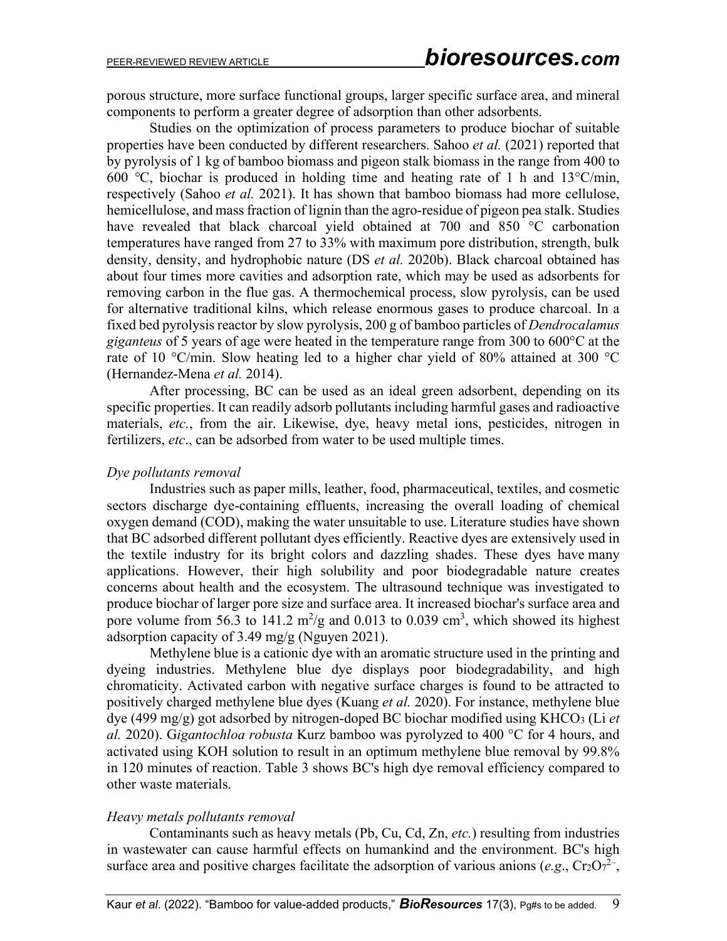porous structure, more surface functional groups, larger specific surface area, and mineral components to perform a greater degree of adsorption than other adsorbents.

Studies on the optimization of process parameters to produce biochar of suitable properties have been conducted by different researchers. Sahoo *et al.* (2021) reported that by pyrolysis of 1 kg of bamboo biomass and pigeon stalk biomass in the range from 400 to 600 ℃, biochar is produced in holding time and heating rate of 1 h and 13°C/min, respectively (Sahoo *et al.* 2021). It has shown that bamboo biomass had more cellulose, hemicellulose, and mass fraction of lignin than the agro-residue of pigeon pea stalk. Studies have revealed that black charcoal yield obtained at 700 and 850 °C carbonation temperatures have ranged from 27 to 33% with maximum pore distribution, strength, bulk density, density, and hydrophobic nature (DS *et al.* 2020b). Black charcoal obtained has about four times more cavities and adsorption rate, which may be used as adsorbents for removing carbon in the flue gas. A thermochemical process, slow pyrolysis, can be used for alternative traditional kilns, which release enormous gases to produce charcoal. In a fixed bed pyrolysis reactor by slow pyrolysis, 200 g of bamboo particles of *Dendrocalamus giganteus* of 5 years of age were heated in the temperature range from 300 to 600°C at the rate of 10 °C/min. Slow heating led to a higher char yield of 80% attained at 300 °C (Hernandez-Mena *et al.* 2014).

After processing, BC can be used as an ideal green adsorbent, depending on its specific properties. It can readily adsorb pollutants including harmful gases and radioactive materials, *etc.*, from the air. Likewise, dye, heavy metal ions, pesticides, nitrogen in fertilizers, *etc*., can be adsorbed from water to be used multiple times.

#### *Dye pollutants removal*

Industries such as paper mills, leather, food, pharmaceutical, textiles, and cosmetic sectors discharge dye-containing effluents, increasing the overall loading of chemical oxygen demand (COD), making the water unsuitable to use. Literature studies have shown that BC adsorbed different pollutant dyes efficiently. Reactive dyes are extensively used in the textile industry for its bright colors and dazzling shades. These dyes have many applications. However, their high solubility and poor biodegradable nature creates concerns about health and the ecosystem. The ultrasound technique was investigated to produce biochar of larger pore size and surface area. It increased biochar's surface area and pore volume from 56.3 to 141.2  $\mathrm{m}^2/\mathrm{g}$  and 0.013 to 0.039 cm<sup>3</sup>, which showed its highest adsorption capacity of 3.49 mg/g (Nguyen 2021).

Methylene blue is a cationic dye with an aromatic structure used in the printing and dyeing industries. Methylene blue dye displays poor biodegradability, and high chromaticity. Activated carbon with negative surface charges is found to be attracted to positively charged methylene blue dyes (Kuang *et al.* 2020). For instance, methylene blue dye (499 mg/g) got adsorbed by nitrogen-doped BC biochar modified using KHCO3 (Li *et al.* 2020). G*igantochloa robusta* Kurz bamboo was pyrolyzed to 400 °C for 4 hours, and activated using KOH solution to result in an optimum methylene blue removal by 99.8% in 120 minutes of reaction. Table 3 shows BC's high dye removal efficiency compared to other waste materials.

#### *Heavy metals pollutants removal*

Contaminants such as heavy metals (Pb, Cu, Cd, Zn, *etc.*) resulting from industries in wastewater can cause harmful effects on humankind and the environment. BC's high surface area and positive charges facilitate the adsorption of various anions ( $e.g., Cr<sub>2</sub>O<sub>7</sub><sup>2</sup>$ ),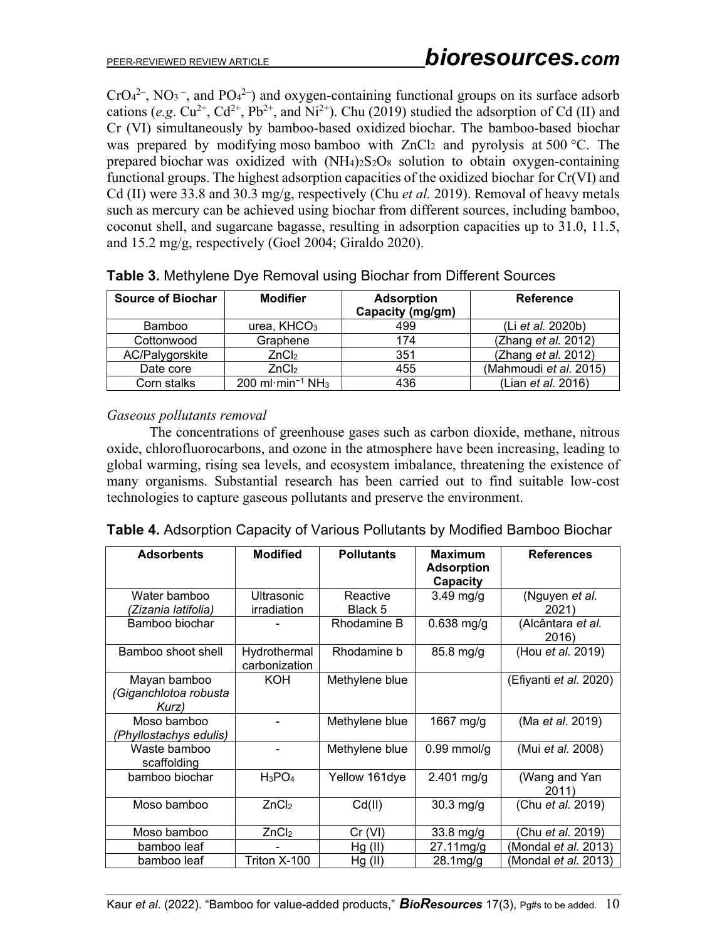$CrO<sub>4</sub><sup>2</sup>$ , NO<sub>3</sub><sup>-</sup>, and PO<sub>4</sub><sup>2</sup>) and oxygen-containing functional groups on its surface adsorb cations (*e.g.*  $Cu^{2+}$ ,  $Cd^{2+}$ ,  $Pb^{2+}$ , and  $Ni^{2+}$ ). Chu (2019) studied the adsorption of Cd (II) and Cr (VI) simultaneously by bamboo-based oxidized biochar. The bamboo-based biochar was prepared by modifying moso bamboo with  $ZnCl<sub>2</sub>$  and pyrolysis at 500 °C. The prepared biochar was oxidized with  $(NH_4)_{2}S_2O_8$  solution to obtain oxygen-containing functional groups. The highest adsorption capacities of the oxidized biochar for Cr(VI) and Cd (II) were 33.8 and 30.3 mg/g, respectively (Chu *et al.* 2019). Removal of heavy metals such as mercury can be achieved using biochar from different sources, including bamboo, coconut shell, and sugarcane bagasse, resulting in adsorption capacities up to 31.0, 11.5, and 15.2 mg/g, respectively (Goel 2004; Giraldo 2020).

| <b>Source of Biochar</b> | <b>Modifier</b>                                  | <b>Adsorption</b><br>Capacity (mg/gm) | <b>Reference</b>       |
|--------------------------|--------------------------------------------------|---------------------------------------|------------------------|
| Bamboo                   | urea, $KHCO3$                                    | 499                                   | (Li et al. 2020b)      |
| Cottonwood               | Graphene                                         | 174                                   | (Zhang et al. 2012)    |
| AC/Palygorskite          | ZnCl <sub>2</sub>                                | 351                                   | (Zhang et al. 2012)    |
| Date core                | ZnCl <sub>2</sub>                                | 455                                   | (Mahmoudi et al. 2015) |
| Corn stalks              | 200 ml $\cdot$ min <sup>-1</sup> NH <sub>3</sub> | 436                                   | (Lian et al. 2016)     |

|  | Table 3. Methylene Dye Removal using Biochar from Different Sources |
|--|---------------------------------------------------------------------|
|--|---------------------------------------------------------------------|

*Gaseous pollutants removal* 

The concentrations of greenhouse gases such as carbon dioxide, methane, nitrous oxide, chlorofluorocarbons, and ozone in the atmosphere have been increasing, leading to global warming, rising sea levels, and ecosystem imbalance, threatening the existence of many organisms. Substantial research has been carried out to find suitable low-cost technologies to capture gaseous pollutants and preserve the environment.

| <b>Adsorbents</b>                              | <b>Modified</b>               | <b>Pollutants</b>   | <b>Maximum</b>                | <b>References</b>           |
|------------------------------------------------|-------------------------------|---------------------|-------------------------------|-----------------------------|
|                                                |                               |                     | <b>Adsorption</b><br>Capacity |                             |
| Water bamboo<br>(Zizania latifolia)            | Ultrasonic<br>irradiation     | Reactive<br>Black 5 | $3.49$ mg/g                   | (Nguyen et al.<br>2021)     |
| Bamboo biochar                                 |                               | Rhodamine B         | $0.638$ mg/g                  | (Alcântara et al.<br>2016)  |
| Bamboo shoot shell                             | Hydrothermal<br>carbonization | Rhodamine b         | $85.8$ mg/g                   | (Hou et al. 2019)           |
| Mayan bamboo<br>'Giganchlotoa robusta<br>Kurz) | KOH                           | Methylene blue      |                               | (Efiyanti et al. 2020)      |
| Moso bamboo<br>(Phyllostachys edulis)          |                               | Methylene blue      | 1667 mg/g                     | (Ma et al. 2019)            |
| Waste bamboo<br>scaffolding                    |                               | Methylene blue      | $0.99$ mmol/g                 | (Mui et al. 2008)           |
| bamboo biochar                                 | $H_3PO_4$                     | Yellow 161dye       | $2.401$ mg/g                  | (Wang and Yan<br>2011)      |
| Moso bamboo                                    | ZnCl <sub>2</sub>             | Cd(II)              | $30.3$ mg/g                   | (Chu et al. 2019)           |
| Moso bamboo                                    | ZnCl <sub>2</sub>             | Cr (VI)             | 33.8 mg/g                     | Chu et al. 2019)            |
| bamboo leaf                                    |                               | Hg (II)             | 27.11mg/g                     | (Mondal et al. 2013)        |
| bamboo leaf                                    | Triton X-100                  | Hg (II)             | 28.1mg/g                      | (Mondal <i>et al.</i> 2013) |

|  | <b>Table 4.</b> Adsorption Capacity of Various Pollutants by Modified Bamboo Biochar |
|--|--------------------------------------------------------------------------------------|
|  |                                                                                      |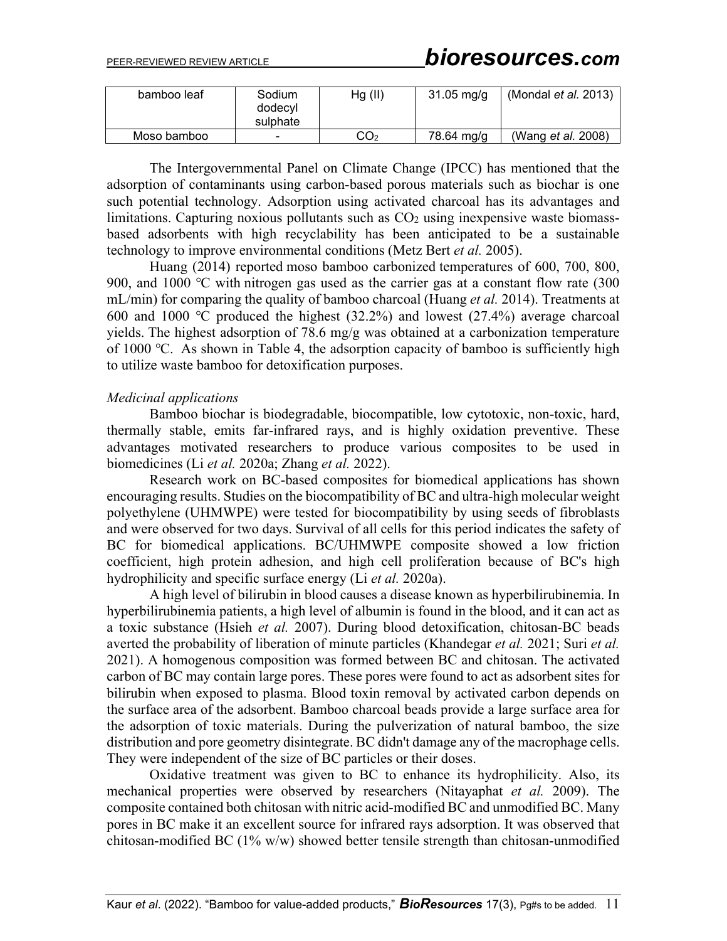| bamboo leaf | Sodium<br>dodecyl<br>sulphate | Hg (II) | $31.05 \,\mathrm{mg/g}$ | (Mondal et al. 2013)      |
|-------------|-------------------------------|---------|-------------------------|---------------------------|
| Moso bamboo | -                             | CO2     | 78.64 ma/a              | (Wang <i>et al.</i> 2008) |

The Intergovernmental Panel on Climate Change (IPCC) has mentioned that the adsorption of contaminants using carbon-based porous materials such as biochar is one such potential technology. Adsorption using activated charcoal has its advantages and limitations. Capturing noxious pollutants such as  $CO<sub>2</sub>$  using inexpensive waste biomassbased adsorbents with high recyclability has been anticipated to be a sustainable technology to improve environmental conditions (Metz Bert *et al.* 2005).

Huang (2014) reported moso bamboo carbonized temperatures of 600, 700, 800, 900, and 1000 °C with nitrogen gas used as the carrier gas at a constant flow rate (300 mL/min) for comparing the quality of bamboo charcoal (Huang *et al.* 2014). Treatments at 600 and 1000 ℃ produced the highest (32.2%) and lowest (27.4%) average charcoal yields. The highest adsorption of 78.6 mg/g was obtained at a carbonization temperature of 1000 ℃. As shown in Table 4, the adsorption capacity of bamboo is sufficiently high to utilize waste bamboo for detoxification purposes.

#### *Medicinal applications*

Bamboo biochar is biodegradable, biocompatible, low cytotoxic, non-toxic, hard, thermally stable, emits far-infrared rays, and is highly oxidation preventive. These advantages motivated researchers to produce various composites to be used in biomedicines (Li *et al.* 2020a; Zhang *et al.* 2022).

Research work on BC-based composites for biomedical applications has shown encouraging results. Studies on the biocompatibility of BC and ultra-high molecular weight polyethylene (UHMWPE) were tested for biocompatibility by using seeds of fibroblasts and were observed for two days. Survival of all cells for this period indicates the safety of BC for biomedical applications. BC/UHMWPE composite showed a low friction coefficient, high protein adhesion, and high cell proliferation because of BC's high hydrophilicity and specific surface energy (Li *et al.* 2020a).

A high level of bilirubin in blood causes a disease known as hyperbilirubinemia. In hyperbilirubinemia patients, a high level of albumin is found in the blood, and it can act as a toxic substance (Hsieh *et al.* 2007). During blood detoxification, chitosan-BC beads averted the probability of liberation of minute particles (Khandegar *et al.* 2021; Suri *et al.* 2021). A homogenous composition was formed between BC and chitosan. The activated carbon of BC may contain large pores. These pores were found to act as adsorbent sites for bilirubin when exposed to plasma. Blood toxin removal by activated carbon depends on the surface area of the adsorbent. Bamboo charcoal beads provide a large surface area for the adsorption of toxic materials. During the pulverization of natural bamboo, the size distribution and pore geometry disintegrate. BC didn't damage any of the macrophage cells. They were independent of the size of BC particles or their doses.

Oxidative treatment was given to BC to enhance its hydrophilicity. Also, its mechanical properties were observed by researchers (Nitayaphat *et al.* 2009). The composite contained both chitosan with nitric acid-modified BC and unmodified BC. Many pores in BC make it an excellent source for infrared rays adsorption. It was observed that chitosan-modified BC (1% w/w) showed better tensile strength than chitosan-unmodified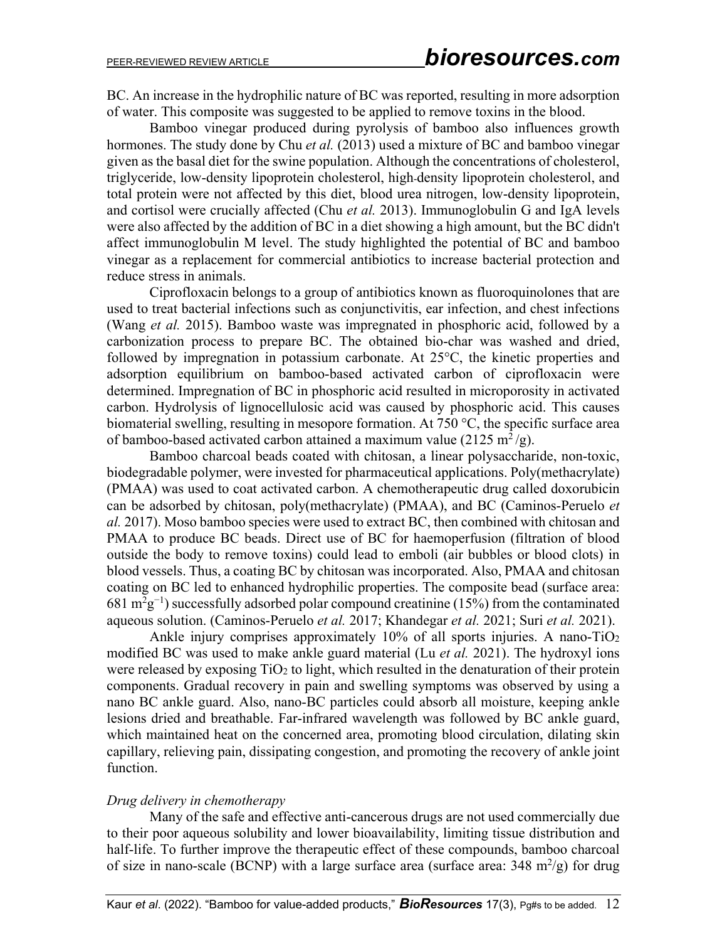BC. An increase in the hydrophilic nature of BC was reported, resulting in more adsorption of water. This composite was suggested to be applied to remove toxins in the blood.

Bamboo vinegar produced during pyrolysis of bamboo also influences growth hormones. The study done by Chu *et al.* (2013) used a mixture of BC and bamboo vinegar given as the basal diet for the swine population. Although the concentrations of cholesterol, triglyceride, low-density lipoprotein cholesterol, high-density lipoprotein cholesterol, and total protein were not affected by this diet, blood urea nitrogen, low-density lipoprotein, and cortisol were crucially affected (Chu *et al.* 2013). Immunoglobulin G and IgA levels were also affected by the addition of BC in a diet showing a high amount, but the BC didn't affect immunoglobulin M level. The study highlighted the potential of BC and bamboo vinegar as a replacement for commercial antibiotics to increase bacterial protection and reduce stress in animals.

Ciprofloxacin belongs to a group of antibiotics known as fluoroquinolones that are used to treat bacterial infections such as conjunctivitis, ear infection, and chest infections (Wang *et al.* 2015). Bamboo waste was impregnated in phosphoric acid, followed by a carbonization process to prepare BC. The obtained bio-char was washed and dried, followed by impregnation in potassium carbonate. At 25°C, the kinetic properties and adsorption equilibrium on bamboo-based activated carbon of ciprofloxacin were determined. Impregnation of BC in phosphoric acid resulted in microporosity in activated carbon. Hydrolysis of lignocellulosic acid was caused by phosphoric acid. This causes biomaterial swelling, resulting in mesopore formation. At 750 °C, the specific surface area of bamboo-based activated carbon attained a maximum value (2125 m<sup>2</sup>/g).

Bamboo charcoal beads coated with chitosan, a linear polysaccharide, non-toxic, biodegradable polymer, were invested for pharmaceutical applications. Poly(methacrylate) (PMAA) was used to coat activated carbon. A chemotherapeutic drug called doxorubicin can be adsorbed by chitosan, poly(methacrylate) (PMAA), and BC (Caminos-Peruelo *et al.* 2017). Moso bamboo species were used to extract BC, then combined with chitosan and PMAA to produce BC beads. Direct use of BC for haemoperfusion (filtration of blood outside the body to remove toxins) could lead to emboli (air bubbles or blood clots) in blood vessels. Thus, a coating BC by chitosan was incorporated. Also, PMAA and chitosan coating on BC led to enhanced hydrophilic properties. The composite bead (surface area: 681 m<sup>2</sup>g<sup>-1</sup>) successfully adsorbed polar compound creatinine (15%) from the contaminated aqueous solution. (Caminos-Peruelo *et al.* 2017; Khandegar *et al.* 2021; Suri *et al.* 2021).

Ankle injury comprises approximately 10% of all sports injuries. A nano-TiO2 modified BC was used to make ankle guard material (Lu *et al.* 2021). The hydroxyl ions were released by exposing TiO<sub>2</sub> to light, which resulted in the denaturation of their protein components. Gradual recovery in pain and swelling symptoms was observed by using a nano BC ankle guard. Also, nano-BC particles could absorb all moisture, keeping ankle lesions dried and breathable. Far-infrared wavelength was followed by BC ankle guard, which maintained heat on the concerned area, promoting blood circulation, dilating skin capillary, relieving pain, dissipating congestion, and promoting the recovery of ankle joint function.

#### *Drug delivery in chemotherapy*

Many of the safe and effective anti-cancerous drugs are not used commercially due to their poor aqueous solubility and lower bioavailability, limiting tissue distribution and half-life. To further improve the therapeutic effect of these compounds, bamboo charcoal of size in nano-scale (BCNP) with a large surface area (surface area:  $348 \text{ m}^2/\text{g}$ ) for drug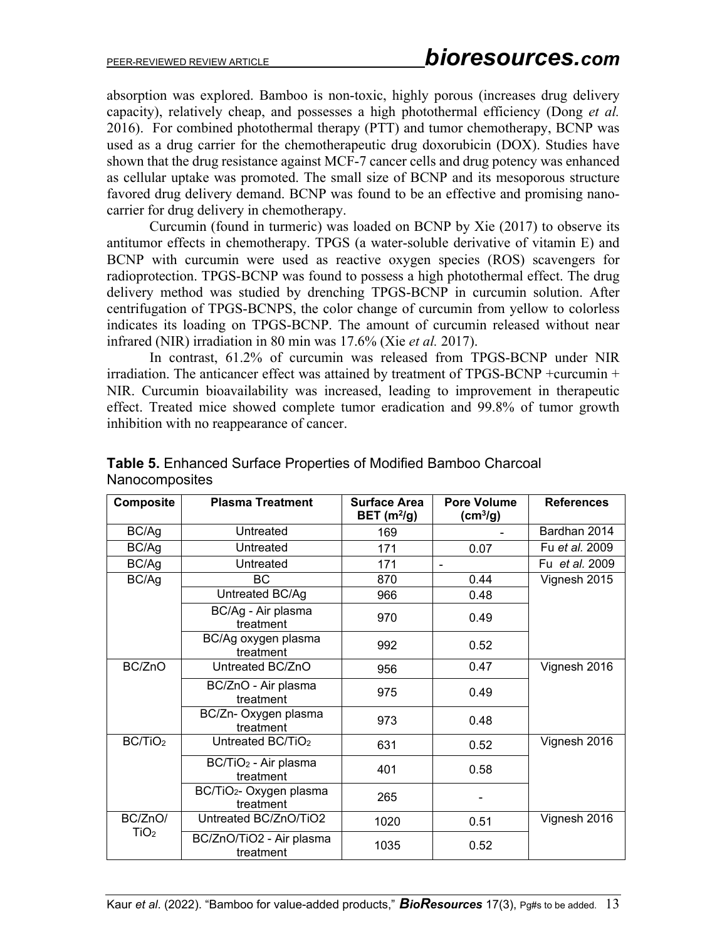absorption was explored. Bamboo is non-toxic, highly porous (increases drug delivery capacity), relatively cheap, and possesses a high photothermal efficiency (Dong *et al.* 2016). For combined photothermal therapy (PTT) and tumor chemotherapy, BCNP was used as a drug carrier for the chemotherapeutic drug doxorubicin (DOX). Studies have shown that the drug resistance against MCF-7 cancer cells and drug potency was enhanced as cellular uptake was promoted. The small size of BCNP and its mesoporous structure favored drug delivery demand. BCNP was found to be an effective and promising nanocarrier for drug delivery in chemotherapy.

Curcumin (found in turmeric) was loaded on BCNP by Xie (2017) to observe its antitumor effects in chemotherapy. TPGS (a water-soluble derivative of vitamin E) and BCNP with curcumin were used as reactive oxygen species (ROS) scavengers for radioprotection. TPGS-BCNP was found to possess a high photothermal effect. The drug delivery method was studied by drenching TPGS-BCNP in curcumin solution. After centrifugation of TPGS-BCNPS, the color change of curcumin from yellow to colorless indicates its loading on TPGS-BCNP. The amount of curcumin released without near infrared (NIR) irradiation in 80 min was 17.6% (Xie *et al.* 2017).

In contrast, 61.2% of curcumin was released from TPGS-BCNP under NIR irradiation. The anticancer effect was attained by treatment of TPGS-BCNP +curcumin + NIR. Curcumin bioavailability was increased, leading to improvement in therapeutic effect. Treated mice showed complete tumor eradication and 99.8% of tumor growth inhibition with no reappearance of cancer.

| <b>Composite</b>    | <b>Plasma Treatment</b>                          | <b>Surface Area</b><br>BET $(m^2/g)$ | <b>Pore Volume</b><br>$\text{(cm}^3\text{/g)}$ | <b>References</b> |
|---------------------|--------------------------------------------------|--------------------------------------|------------------------------------------------|-------------------|
| BC/Ag               | Untreated                                        | 169                                  |                                                | Bardhan 2014      |
| BC/Ag               | Untreated                                        | 171                                  | 0.07                                           | Fu et al. 2009    |
| BC/Ag               | Untreated                                        | 171                                  |                                                | Fu et al. 2009    |
| BC/Ag               | ВC                                               | 870                                  | 0.44                                           | Vignesh 2015      |
|                     | Untreated BC/Ag                                  | 966                                  | 0.48                                           |                   |
|                     | BC/Ag - Air plasma<br>treatment                  | 970                                  | 0.49                                           |                   |
|                     | BC/Ag oxygen plasma<br>treatment                 | 992                                  | 0.52                                           |                   |
| BC/ZnO              | Untreated BC/ZnO                                 | 956                                  | 0.47                                           | Vignesh 2016      |
|                     | BC/ZnO - Air plasma<br>treatment                 | 975                                  | 0.49                                           |                   |
|                     | BC/Zn- Oxygen plasma<br>treatment                | 973                                  | 0.48                                           |                   |
| BC/TiO <sub>2</sub> | Untreated BC/TiO <sub>2</sub>                    | 631                                  | 0.52                                           | Vignesh 2016      |
|                     | BC/TiO <sub>2</sub> - Air plasma<br>treatment    | 401                                  | 0.58                                           |                   |
|                     | BC/TiO <sub>2</sub> - Oxygen plasma<br>treatment | 265                                  |                                                |                   |
| BC/ZnO/             | Untreated BC/ZnO/TiO2                            | 1020                                 | 0.51                                           | Vignesh 2016      |
| TiO <sub>2</sub>    | BC/ZnO/TiO2 - Air plasma<br>treatment            | 1035                                 | 0.52                                           |                   |

## **Table 5.** Enhanced Surface Properties of Modified Bamboo Charcoal Nanocomposites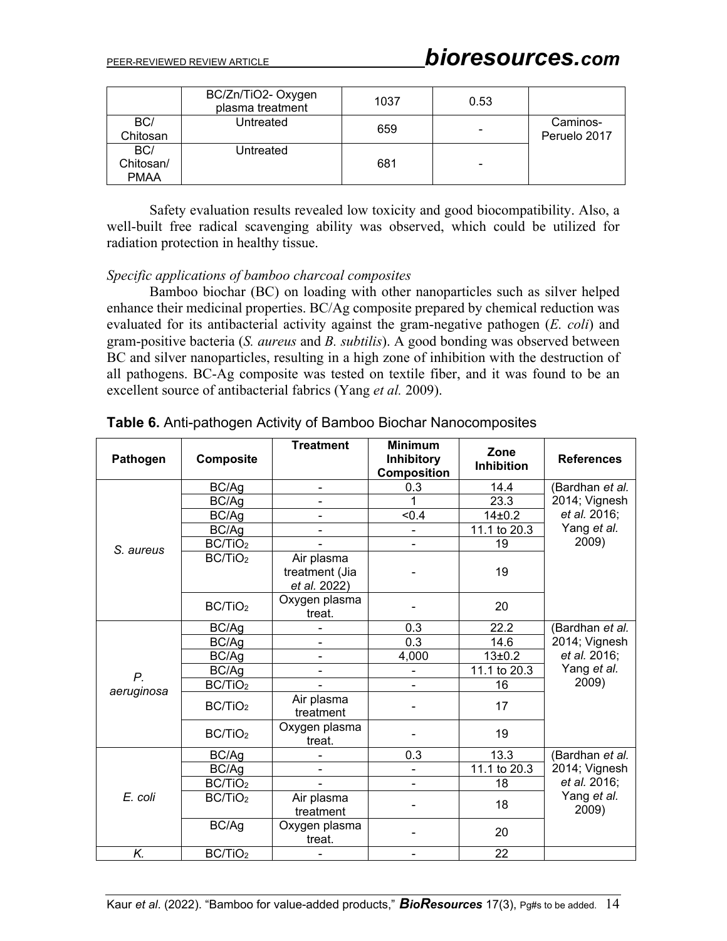|                                 | BC/Zn/TiO2- Oxygen<br>plasma treatment | 1037 | 0.53 |                          |
|---------------------------------|----------------------------------------|------|------|--------------------------|
| BC/<br>Chitosan                 | Untreated                              | 659  |      | Caminos-<br>Peruelo 2017 |
| BC/<br>Chitosan/<br><b>PMAA</b> | Untreated                              | 681  | -    |                          |

Safety evaluation results revealed low toxicity and good biocompatibility. Also, a well-built free radical scavenging ability was observed, which could be utilized for radiation protection in healthy tissue.

## *Specific applications of bamboo charcoal composites*

Bamboo biochar (BC) on loading with other nanoparticles such as silver helped enhance their medicinal properties. BC/Ag composite prepared by chemical reduction was evaluated for its antibacterial activity against the gram-negative pathogen (*E. coli*) and gram-positive bacteria (*S. aureus* and *B. subtilis*). A good bonding was observed between BC and silver nanoparticles, resulting in a high zone of inhibition with the destruction of all pathogens. BC-Ag composite was tested on textile fiber, and it was found to be an excellent source of antibacterial fabrics (Yang *et al.* 2009).

| Pathogen    | <b>Composite</b>    | <b>Treatment</b>                             | <b>Minimum</b><br><b>Inhibitory</b><br><b>Composition</b> | Zone<br>Inhibition | <b>References</b>                |
|-------------|---------------------|----------------------------------------------|-----------------------------------------------------------|--------------------|----------------------------------|
|             | BC/Ag               | $\blacksquare$                               | 0.3                                                       | 14.4               | (Bardhan et al.<br>2014; Vignesh |
|             | BC/Ag               |                                              | 1                                                         | 23.3               |                                  |
|             | BC/Ag               | $\qquad \qquad \blacksquare$                 | < 0.4                                                     | 14±0.2             | et al. 2016;                     |
|             | BC/Ag               |                                              |                                                           | 11.1 to 20.3       | Yang et al.<br>2009)             |
| S. aureus   | BC/TiO <sub>2</sub> |                                              | ۰                                                         | 19                 |                                  |
|             | BC/TiO <sub>2</sub> | Air plasma<br>treatment (Jia<br>et al. 2022) |                                                           | 19                 |                                  |
|             | BC/TiO <sub>2</sub> | Oxygen plasma<br>treat.                      |                                                           | 20                 |                                  |
|             | BC/Ag               |                                              | 0.3                                                       | 22.2               | (Bardhan et al.                  |
|             | BC/Ag               |                                              | 0.3                                                       | 14.6               | 2014; Vignesh                    |
|             | BC/Ag               | $\blacksquare$                               | 4,000                                                     | $13 + 0.2$         | et al. 2016;                     |
| $P_{\cdot}$ | BC/Ag               |                                              |                                                           | 11.1 to 20.3       | Yang et al.                      |
| aeruginosa  | BC/TiO <sub>2</sub> |                                              | ۰                                                         | 16                 | 2009)                            |
|             | BC/TiO <sub>2</sub> | Air plasma<br>treatment                      |                                                           | 17                 |                                  |
|             | BC/TiO <sub>2</sub> | Oxygen plasma<br>treat.                      |                                                           | 19                 |                                  |
| E. coli     | BC/Ag               |                                              | 0.3                                                       | 13.3               | (Bardhan et al.                  |
|             | BC/Ag               |                                              | -                                                         | 11.1 to 20.3       | 2014; Vignesh                    |
|             | BC/TiO <sub>2</sub> |                                              | -                                                         | 18                 | et al. 2016;                     |
|             | BC/TiO <sub>2</sub> | Air plasma<br>treatment                      |                                                           | 18                 | Yang et al.<br>2009)             |
|             | BC/Ag               | Oxygen plasma<br>treat.                      |                                                           | 20                 |                                  |
| K.          | BC/TiO <sub>2</sub> |                                              | -                                                         | 22                 |                                  |

**Table 6.** Anti-pathogen Activity of Bamboo Biochar Nanocomposites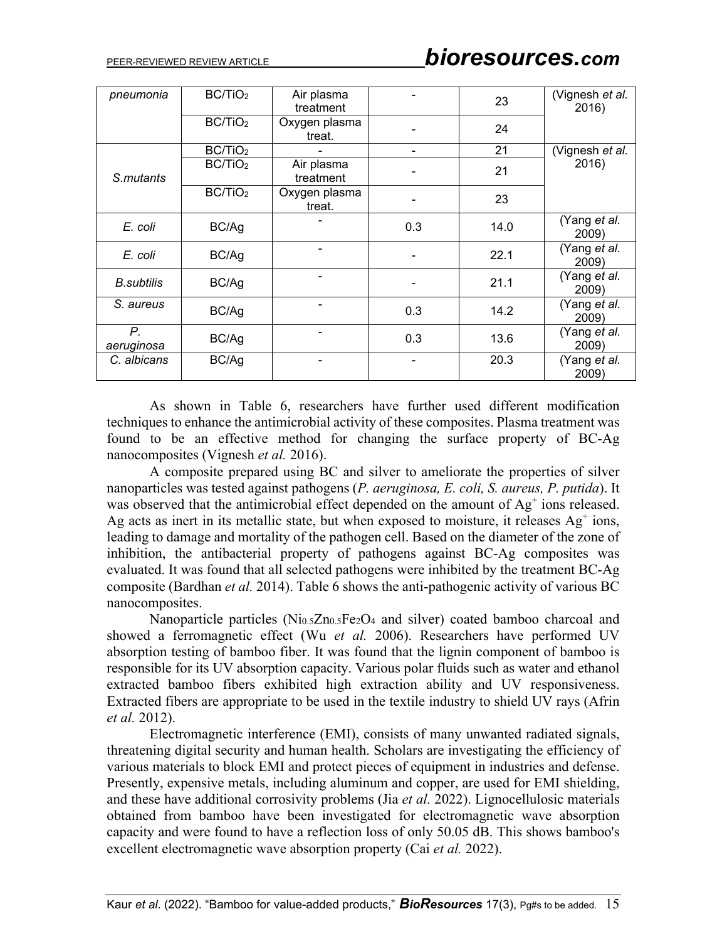# PEER-REVIEWED REVIEW ARTICLE *bioresources.com*

| pneumonia          | BC/TiO <sub>2</sub> | Air plasma<br>treatment |     | 23   | (Vignesh et al.<br>2016)     |  |
|--------------------|---------------------|-------------------------|-----|------|------------------------------|--|
|                    | BC/TiO <sub>2</sub> | Oxygen plasma<br>treat. |     | 24   |                              |  |
| S.mutants          | BC/TiO <sub>2</sub> |                         |     | 21   | (Vignesh et al.              |  |
|                    | BC/TiO <sub>2</sub> | Air plasma<br>treatment |     | 21   | 2016)                        |  |
|                    | BC/TiO <sub>2</sub> | Oxygen plasma<br>treat. |     | 23   |                              |  |
| E. coli            | BC/Ag               |                         | 0.3 | 14.0 | (Yang et al.<br>2009)        |  |
| E. coli            | BC/Ag               |                         |     | 22.1 | (Yang et al.<br>2009)        |  |
| <b>B.</b> subtilis | BC/Ag               | -                       |     | 21.1 | (Yang et al.<br>2009)        |  |
| S. aureus          | BC/Ag               |                         | 0.3 | 14.2 | (Yang et al.<br>2009)        |  |
| Р.<br>aeruginosa   | BC/Ag               |                         | 0.3 | 13.6 | (Yang <i>et al.</i><br>2009) |  |
| C. albicans        | BC/Ag               |                         |     | 20.3 | (Yang <i>et al.</i><br>2009) |  |

As shown in Table 6, researchers have further used different modification techniques to enhance the antimicrobial activity of these composites. Plasma treatment was found to be an effective method for changing the surface property of BC-Ag nanocomposites (Vignesh *et al.* 2016).

A composite prepared using BC and silver to ameliorate the properties of silver nanoparticles was tested against pathogens (*P. aeruginosa, E. coli, S. aureus, P. putida*). It was observed that the antimicrobial effect depended on the amount of  $Ag<sup>+</sup>$  ions released. Ag acts as inert in its metallic state, but when exposed to moisture, it releases  $Ag<sup>+</sup> ions$ , leading to damage and mortality of the pathogen cell. Based on the diameter of the zone of inhibition, the antibacterial property of pathogens against BC-Ag composites was evaluated. It was found that all selected pathogens were inhibited by the treatment BC-Ag composite (Bardhan *et al.* 2014). Table 6 shows the anti-pathogenic activity of various BC nanocomposites.

Nanoparticle particles (Ni0.5Zn0.5Fe2O4 and silver) coated bamboo charcoal and showed a ferromagnetic effect (Wu *et al.* 2006). Researchers have performed UV absorption testing of bamboo fiber. It was found that the lignin component of bamboo is responsible for its UV absorption capacity. Various polar fluids such as water and ethanol extracted bamboo fibers exhibited high extraction ability and UV responsiveness. Extracted fibers are appropriate to be used in the textile industry to shield UV rays (Afrin *et al.* 2012).

Electromagnetic interference (EMI), consists of many unwanted radiated signals, threatening digital security and human health. Scholars are investigating the efficiency of various materials to block EMI and protect pieces of equipment in industries and defense. Presently, expensive metals, including aluminum and copper, are used for EMI shielding, and these have additional corrosivity problems (Jia *et al.* 2022). Lignocellulosic materials obtained from bamboo have been investigated for electromagnetic wave absorption capacity and were found to have a reflection loss of only 50.05 dB. This shows bamboo's excellent electromagnetic wave absorption property (Cai *et al.* 2022).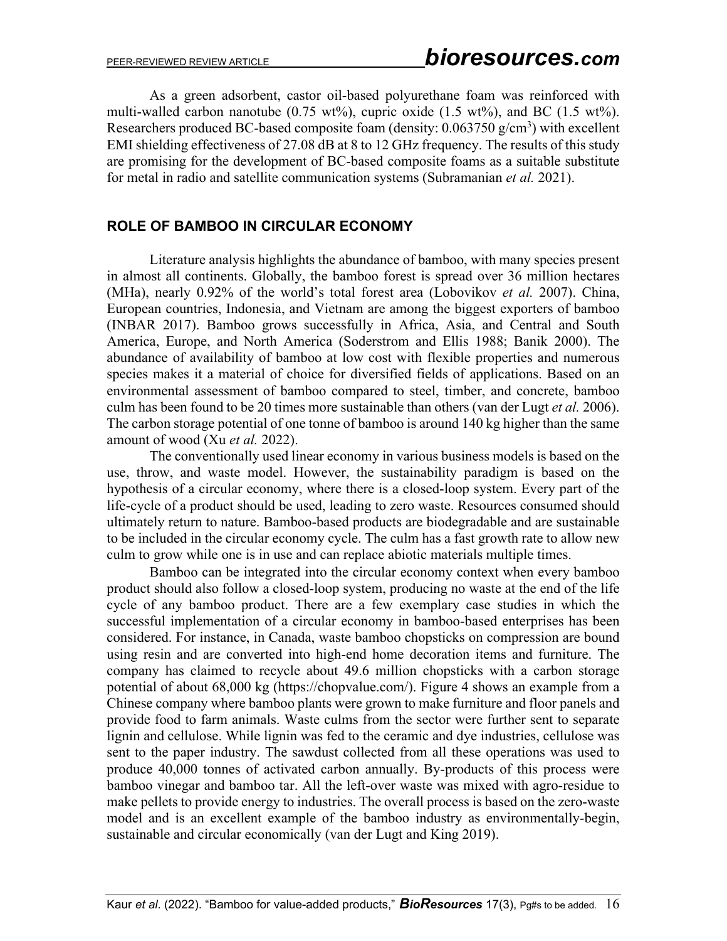As a green adsorbent, castor oil-based polyurethane foam was reinforced with multi-walled carbon nanotube  $(0.75 \text{ wt\%})$ , cupric oxide  $(1.5 \text{ wt\%})$ , and BC  $(1.5 \text{ wt\%})$ . Researchers produced BC-based composite foam (density:  $0.063750$  g/cm<sup>3</sup>) with excellent EMI shielding effectiveness of 27.08 dB at 8 to 12 GHz frequency. The results of this study are promising for the development of BC-based composite foams as a suitable substitute for metal in radio and satellite communication systems (Subramanian *et al.* 2021).

#### **ROLE OF BAMBOO IN CIRCULAR ECONOMY**

Literature analysis highlights the abundance of bamboo, with many species present in almost all continents. Globally, the bamboo forest is spread over 36 million hectares (MHa), nearly 0.92% of the world's total forest area (Lobovikov *et al.* 2007). China, European countries, Indonesia, and Vietnam are among the biggest exporters of bamboo (INBAR 2017). Bamboo grows successfully in Africa, Asia, and Central and South America, Europe, and North America (Soderstrom and Ellis 1988; Banik 2000). The abundance of availability of bamboo at low cost with flexible properties and numerous species makes it a material of choice for diversified fields of applications. Based on an environmental assessment of bamboo compared to steel, timber, and concrete, bamboo culm has been found to be 20 times more sustainable than others (van der Lugt *et al.* 2006). The carbon storage potential of one tonne of bamboo is around 140 kg higher than the same amount of wood (Xu *et al.* 2022).

The conventionally used linear economy in various business models is based on the use, throw, and waste model. However, the sustainability paradigm is based on the hypothesis of a circular economy, where there is a closed-loop system. Every part of the life-cycle of a product should be used, leading to zero waste. Resources consumed should ultimately return to nature. Bamboo-based products are biodegradable and are sustainable to be included in the circular economy cycle. The culm has a fast growth rate to allow new culm to grow while one is in use and can replace abiotic materials multiple times.

Bamboo can be integrated into the circular economy context when every bamboo product should also follow a closed-loop system, producing no waste at the end of the life cycle of any bamboo product. There are a few exemplary case studies in which the successful implementation of a circular economy in bamboo-based enterprises has been considered. For instance, in Canada, waste bamboo chopsticks on compression are bound using resin and are converted into high-end home decoration items and furniture. The company has claimed to recycle about 49.6 million chopsticks with a carbon storage potential of about 68,000 kg [\(https://chopvalue.com/\)](https://chopvalue.com/). Figure 4 shows an example from a Chinese company where bamboo plants were grown to make furniture and floor panels and provide food to farm animals. Waste culms from the sector were further sent to separate lignin and cellulose. While lignin was fed to the ceramic and dye industries, cellulose was sent to the paper industry. The sawdust collected from all these operations was used to produce 40,000 tonnes of activated carbon annually. By-products of this process were bamboo vinegar and bamboo tar. All the left-over waste was mixed with agro-residue to make pellets to provide energy to industries. The overall process is based on the zero-waste model and is an excellent example of the bamboo industry as environmentally-begin, sustainable and circular economically (van der Lugt and King 2019).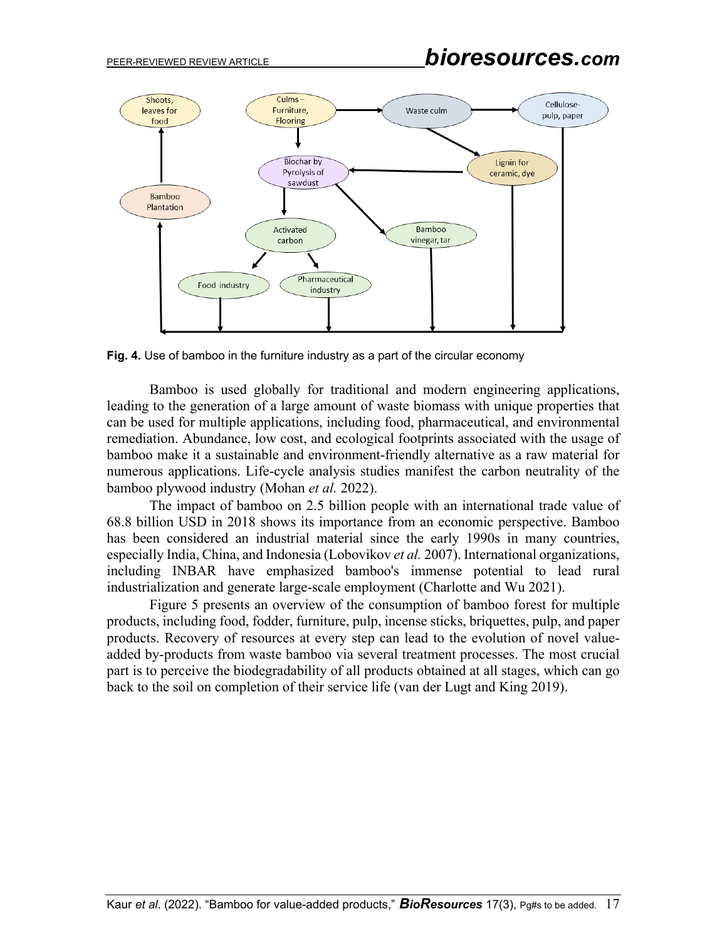

**Fig. 4.** Use of bamboo in the furniture industry as a part of the circular economy

Bamboo is used globally for traditional and modern engineering applications, leading to the generation of a large amount of waste biomass with unique properties that can be used for multiple applications, including food, pharmaceutical, and environmental remediation. Abundance, low cost, and ecological footprints associated with the usage of bamboo make it a sustainable and environment-friendly alternative as a raw material for numerous applications. Life-cycle analysis studies manifest the carbon neutrality of the bamboo plywood industry (Mohan *et al.* 2022).

The impact of bamboo on 2.5 billion people with an international trade value of 68.8 billion USD in 2018 shows its importance from an economic perspective. Bamboo has been considered an industrial material since the early 1990s in many countries, especially India, China, and Indonesia (Lobovikov *et al.* 2007). International organizations, including INBAR have emphasized bamboo's immense potential to lead rural industrialization and generate large-scale employment (Charlotte and Wu 2021).

Figure 5 presents an overview of the consumption of bamboo forest for multiple products, including food, fodder, furniture, pulp, incense sticks, briquettes, pulp, and paper products. Recovery of resources at every step can lead to the evolution of novel valueadded by-products from waste bamboo via several treatment processes. The most crucial part is to perceive the biodegradability of all products obtained at all stages, which can go back to the soil on completion of their service life (van der Lugt and King 2019).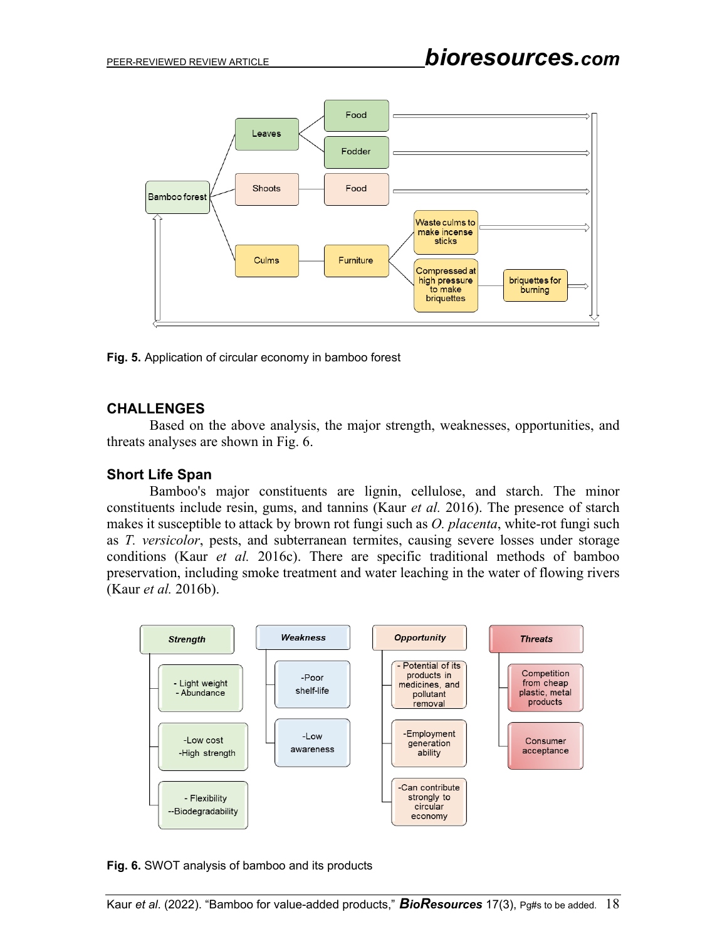

**Fig. 5.** Application of circular economy in bamboo forest

## **CHALLENGES**

Based on the above analysis, the major strength, weaknesses, opportunities, and threats analyses are shown in Fig. 6.

## **Short Life Span**

Bamboo's major constituents are lignin, cellulose, and starch. The minor constituents include resin, gums, and tannins (Kaur *et al.* 2016). The presence of starch makes it susceptible to attack by brown rot fungi such as *O. placenta*, white-rot fungi such as *T. versicolor*, pests, and subterranean termites, causing severe losses under storage conditions (Kaur *et al.* 2016c). There are specific traditional methods of bamboo preservation, including smoke treatment and water leaching in the water of flowing rivers (Kaur *et al.* 2016b).



**Fig. 6.** SWOT analysis of bamboo and its products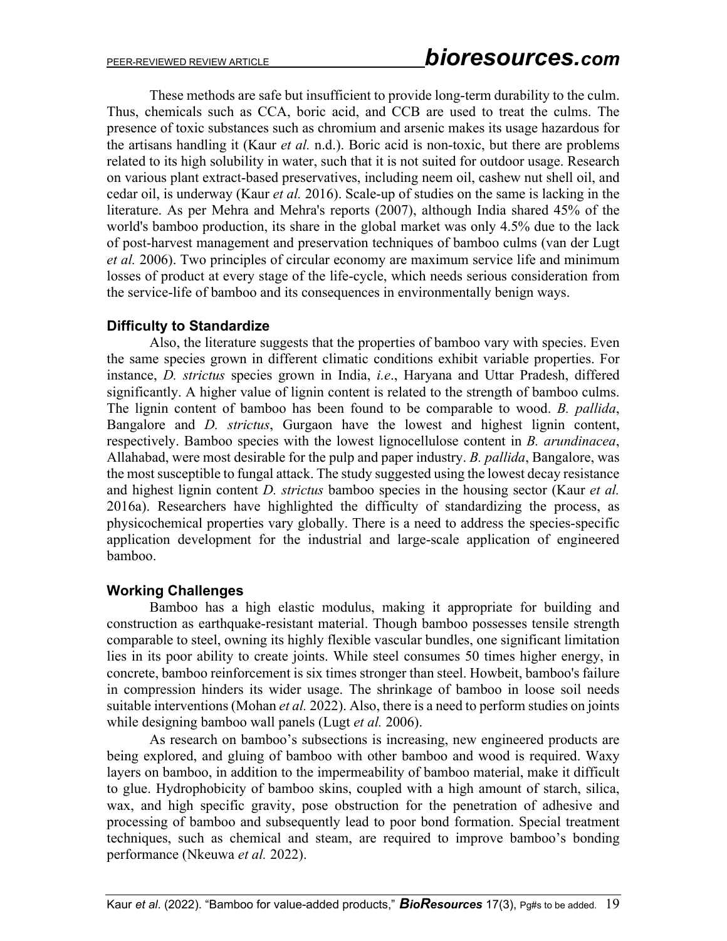These methods are safe but insufficient to provide long-term durability to the culm. Thus, chemicals such as CCA, boric acid, and CCB are used to treat the culms. The presence of toxic substances such as chromium and arsenic makes its usage hazardous for the artisans handling it (Kaur *et al.* n.d.). Boric acid is non-toxic, but there are problems related to its high solubility in water, such that it is not suited for outdoor usage. Research on various plant extract-based preservatives, including neem oil, cashew nut shell oil, and cedar oil, is underway (Kaur *et al.* 2016). Scale-up of studies on the same is lacking in the literature. As per Mehra and Mehra's reports (2007), although India shared 45% of the world's bamboo production, its share in the global market was only 4.5% due to the lack of post-harvest management and preservation techniques of bamboo culms (van der Lugt *et al.* 2006). Two principles of circular economy are maximum service life and minimum losses of product at every stage of the life-cycle, which needs serious consideration from the service-life of bamboo and its consequences in environmentally benign ways.

## **Difficulty to Standardize**

Also, the literature suggests that the properties of bamboo vary with species. Even the same species grown in different climatic conditions exhibit variable properties. For instance, *D. strictus* species grown in India, *i.e*., Haryana and Uttar Pradesh, differed significantly. A higher value of lignin content is related to the strength of bamboo culms. The lignin content of bamboo has been found to be comparable to wood. *B. pallida*, Bangalore and *D. strictus*, Gurgaon have the lowest and highest lignin content, respectively. Bamboo species with the lowest lignocellulose content in *B. arundinacea*, Allahabad, were most desirable for the pulp and paper industry. *B. pallida*, Bangalore, was the most susceptible to fungal attack. The study suggested using the lowest decay resistance and highest lignin content *D. strictus* bamboo species in the housing sector (Kaur *et al.* 2016a). Researchers have highlighted the difficulty of standardizing the process, as physicochemical properties vary globally. There is a need to address the species-specific application development for the industrial and large-scale application of engineered bamboo.

## **Working Challenges**

Bamboo has a high elastic modulus, making it appropriate for building and construction as earthquake-resistant material. Though bamboo possesses tensile strength comparable to steel, owning its highly flexible vascular bundles, one significant limitation lies in its poor ability to create joints. While steel consumes 50 times higher energy, in concrete, bamboo reinforcement is six times stronger than steel. Howbeit, bamboo's failure in compression hinders its wider usage. The shrinkage of bamboo in loose soil needs suitable interventions (Mohan *et al.* 2022). Also, there is a need to perform studies on joints while designing bamboo wall panels (Lugt *et al.* 2006).

As research on bamboo's subsections is increasing, new engineered products are being explored, and gluing of bamboo with other bamboo and wood is required. Waxy layers on bamboo, in addition to the impermeability of bamboo material, make it difficult to glue. Hydrophobicity of bamboo skins, coupled with a high amount of starch, silica, wax, and high specific gravity, pose obstruction for the penetration of adhesive and processing of bamboo and subsequently lead to poor bond formation. Special treatment techniques, such as chemical and steam, are required to improve bamboo's bonding performance (Nkeuwa *et al.* 2022).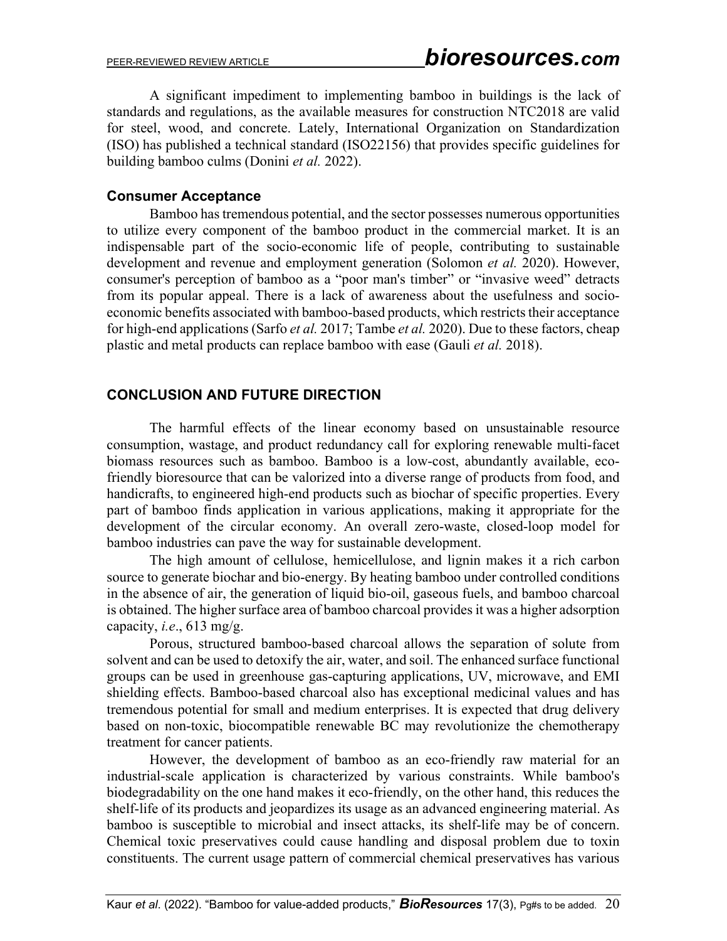A significant impediment to implementing bamboo in buildings is the lack of standards and regulations, as the available measures for construction NTC2018 are valid for steel, wood, and concrete. Lately, International Organization on Standardization (ISO) has published a technical standard (ISO22156) that provides specific guidelines for building bamboo culms (Donini *et al.* 2022).

## **Consumer Acceptance**

Bamboo has tremendous potential, and the sector possesses numerous opportunities to utilize every component of the bamboo product in the commercial market. It is an indispensable part of the socio-economic life of people, contributing to sustainable development and revenue and employment generation (Solomon *et al.* 2020). However, consumer's perception of bamboo as a "poor man's timber" or "invasive weed" detracts from its popular appeal. There is a lack of awareness about the usefulness and socioeconomic benefits associated with bamboo-based products, which restricts their acceptance for high-end applications (Sarfo *et al.* 2017; Tambe *et al.* 2020). Due to these factors, cheap plastic and metal products can replace bamboo with ease (Gauli *et al.* 2018).

## **CONCLUSION AND FUTURE DIRECTION**

The harmful effects of the linear economy based on unsustainable resource consumption, wastage, and product redundancy call for exploring renewable multi-facet biomass resources such as bamboo. Bamboo is a low-cost, abundantly available, ecofriendly bioresource that can be valorized into a diverse range of products from food, and handicrafts, to engineered high-end products such as biochar of specific properties. Every part of bamboo finds application in various applications, making it appropriate for the development of the circular economy. An overall zero-waste, closed-loop model for bamboo industries can pave the way for sustainable development.

The high amount of cellulose, hemicellulose, and lignin makes it a rich carbon source to generate biochar and bio-energy. By heating bamboo under controlled conditions in the absence of air, the generation of liquid bio-oil, gaseous fuels, and bamboo charcoal is obtained. The higher surface area of bamboo charcoal provides it was a higher adsorption capacity, *i.e*., 613 mg/g.

Porous, structured bamboo-based charcoal allows the separation of solute from solvent and can be used to detoxify the air, water, and soil. The enhanced surface functional groups can be used in greenhouse gas-capturing applications, UV, microwave, and EMI shielding effects. Bamboo-based charcoal also has exceptional medicinal values and has tremendous potential for small and medium enterprises. It is expected that drug delivery based on non-toxic, biocompatible renewable BC may revolutionize the chemotherapy treatment for cancer patients.

However, the development of bamboo as an eco-friendly raw material for an industrial-scale application is characterized by various constraints. While bamboo's biodegradability on the one hand makes it eco-friendly, on the other hand, this reduces the shelf-life of its products and jeopardizes its usage as an advanced engineering material. As bamboo is susceptible to microbial and insect attacks, its shelf-life may be of concern. Chemical toxic preservatives could cause handling and disposal problem due to toxin constituents. The current usage pattern of commercial chemical preservatives has various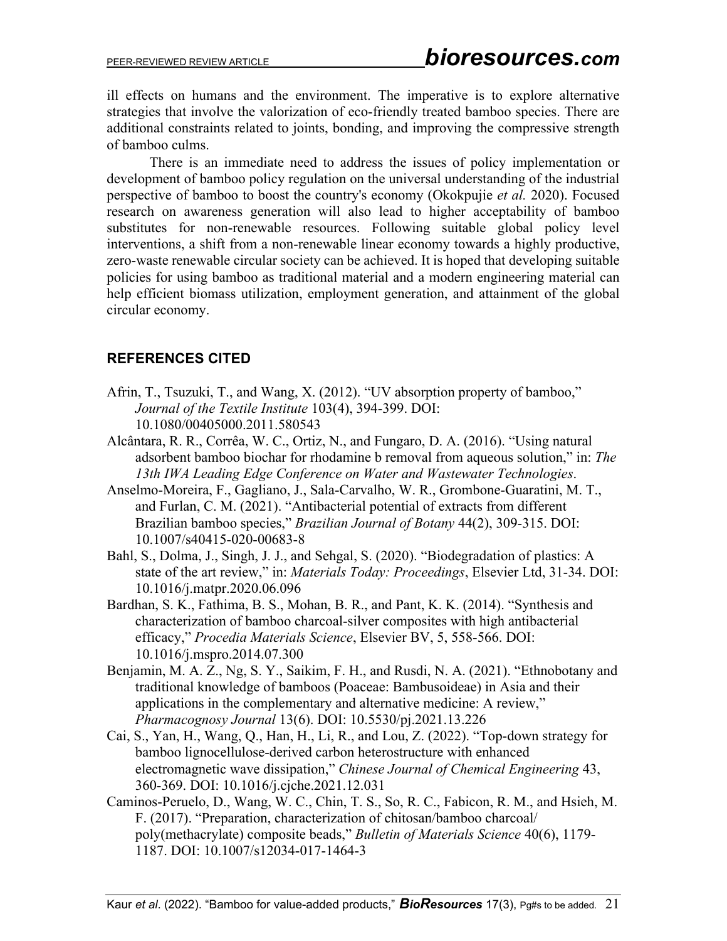ill effects on humans and the environment. The imperative is to explore alternative strategies that involve the valorization of eco-friendly treated bamboo species. There are additional constraints related to joints, bonding, and improving the compressive strength of bamboo culms.

There is an immediate need to address the issues of policy implementation or development of bamboo policy regulation on the universal understanding of the industrial perspective of bamboo to boost the country's economy (Okokpujie *et al.* 2020). Focused research on awareness generation will also lead to higher acceptability of bamboo substitutes for non-renewable resources. Following suitable global policy level interventions, a shift from a non-renewable linear economy towards a highly productive, zero-waste renewable circular society can be achieved. It is hoped that developing suitable policies for using bamboo as traditional material and a modern engineering material can help efficient biomass utilization, employment generation, and attainment of the global circular economy.

## **REFERENCES CITED**

- Afrin, T., Tsuzuki, T., and Wang, X. (2012). "UV absorption property of bamboo," *Journal of the Textile Institute* 103(4), 394-399. DOI: 10.1080/00405000.2011.580543
- Alcântara, R. R., Corrêa, W. C., Ortiz, N., and Fungaro, D. A. (2016). "Using natural adsorbent bamboo biochar for rhodamine b removal from aqueous solution," in: *The 13th IWA Leading Edge Conference on Water and Wastewater Technologies*.
- Anselmo-Moreira, F., Gagliano, J., Sala-Carvalho, W. R., Grombone-Guaratini, M. T., and Furlan, C. M. (2021). "Antibacterial potential of extracts from different Brazilian bamboo species," *Brazilian Journal of Botany* 44(2), 309-315. DOI: 10.1007/s40415-020-00683-8
- Bahl, S., Dolma, J., Singh, J. J., and Sehgal, S. (2020). "Biodegradation of plastics: A state of the art review," in: *Materials Today: Proceedings*, Elsevier Ltd, 31-34. DOI: 10.1016/j.matpr.2020.06.096
- Bardhan, S. K., Fathima, B. S., Mohan, B. R., and Pant, K. K. (2014). "Synthesis and characterization of bamboo charcoal-silver composites with high antibacterial efficacy," *Procedia Materials Science*, Elsevier BV, 5, 558-566. DOI: 10.1016/j.mspro.2014.07.300
- Benjamin, M. A. Z., Ng, S. Y., Saikim, F. H., and Rusdi, N. A. (2021). "Ethnobotany and traditional knowledge of bamboos (Poaceae: Bambusoideae) in Asia and their applications in the complementary and alternative medicine: A review," *Pharmacognosy Journal* 13(6). DOI: 10.5530/pj.2021.13.226
- Cai, S., Yan, H., Wang, Q., Han, H., Li, R., and Lou, Z. (2022). "Top-down strategy for bamboo lignocellulose-derived carbon heterostructure with enhanced electromagnetic wave dissipation," *Chinese Journal of Chemical Engineering* 43, 360-369. DOI: 10.1016/j.cjche.2021.12.031
- Caminos-Peruelo, D., Wang, W. C., Chin, T. S., So, R. C., Fabicon, R. M., and Hsieh, M. F. (2017). "Preparation, characterization of chitosan/bamboo charcoal/ poly(methacrylate) composite beads," *Bulletin of Materials Science* 40(6), 1179- 1187. DOI: 10.1007/s12034-017-1464-3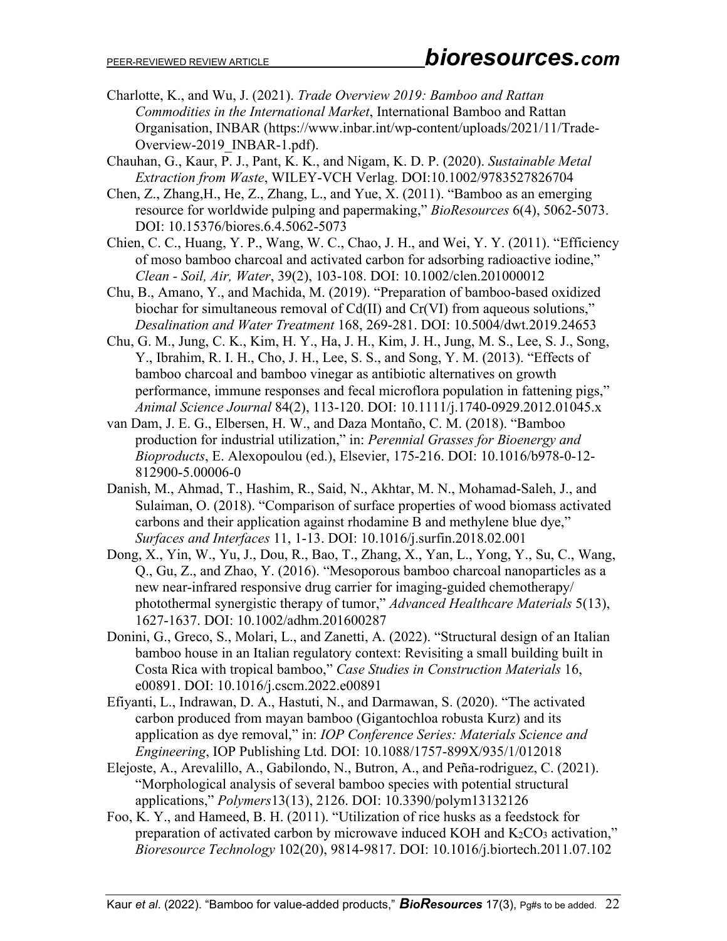- Charlotte, K., and Wu, J. (2021). *Trade Overview 2019: Bamboo and Rattan Commodities in the International Market*, International Bamboo and Rattan Organisation, INBAR (https://www.inbar.int/wp-content/uploads/2021/11/Trade-Overview-2019\_INBAR-1.pdf).
- Chauhan, G., Kaur, P. J., Pant, K. K., and Nigam, K. D. P. (2020). *Sustainable Metal Extraction from Waste*, WILEY-VCH Verlag. DOI:10.1002/9783527826704
- Chen, Z., Zhang,H., He, Z., Zhang, L., and Yue, X. (2011). "Bamboo as an emerging resource for worldwide pulping and papermaking," *BioResources* 6(4), 5062-5073. DOI: 10.15376/biores.6.4.5062-5073
- Chien, C. C., Huang, Y. P., Wang, W. C., Chao, J. H., and Wei, Y. Y. (2011). "Efficiency of moso bamboo charcoal and activated carbon for adsorbing radioactive iodine," *Clean - Soil, Air, Water*, 39(2), 103-108. DOI: 10.1002/clen.201000012
- Chu, B., Amano, Y., and Machida, M. (2019). "Preparation of bamboo-based oxidized biochar for simultaneous removal of Cd(II) and Cr(VI) from aqueous solutions," *Desalination and Water Treatment* 168, 269-281. DOI: 10.5004/dwt.2019.24653
- Chu, G. M., Jung, C. K., Kim, H. Y., Ha, J. H., Kim, J. H., Jung, M. S., Lee, S. J., Song, Y., Ibrahim, R. I. H., Cho, J. H., Lee, S. S., and Song, Y. M. (2013). "Effects of bamboo charcoal and bamboo vinegar as antibiotic alternatives on growth performance, immune responses and fecal microflora population in fattening pigs," *Animal Science Journal* 84(2), 113-120. DOI: 10.1111/j.1740-0929.2012.01045.x
- van Dam, J. E. G., Elbersen, H. W., and Daza Montaño, C. M. (2018). "Bamboo production for industrial utilization," in: *Perennial Grasses for Bioenergy and Bioproducts*, E. Alexopoulou (ed.), Elsevier, 175-216. DOI: 10.1016/b978-0-12- 812900-5.00006-0
- Danish, M., Ahmad, T., Hashim, R., Said, N., Akhtar, M. N., Mohamad-Saleh, J., and Sulaiman, O. (2018). "Comparison of surface properties of wood biomass activated carbons and their application against rhodamine B and methylene blue dye," *Surfaces and Interfaces* 11, 1-13. DOI: 10.1016/j.surfin.2018.02.001
- Dong, X., Yin, W., Yu, J., Dou, R., Bao, T., Zhang, X., Yan, L., Yong, Y., Su, C., Wang, Q., Gu, Z., and Zhao, Y. (2016). "Mesoporous bamboo charcoal nanoparticles as a new near-infrared responsive drug carrier for imaging-guided chemotherapy/ photothermal synergistic therapy of tumor," *Advanced Healthcare Materials* 5(13), 1627-1637. DOI: 10.1002/adhm.201600287
- Donini, G., Greco, S., Molari, L., and Zanetti, A. (2022). "Structural design of an Italian bamboo house in an Italian regulatory context: Revisiting a small building built in Costa Rica with tropical bamboo," *Case Studies in Construction Materials* 16, e00891. DOI: 10.1016/j.cscm.2022.e00891
- Efiyanti, L., Indrawan, D. A., Hastuti, N., and Darmawan, S. (2020). "The activated carbon produced from mayan bamboo (Gigantochloa robusta Kurz) and its application as dye removal," in: *IOP Conference Series: Materials Science and Engineering*, IOP Publishing Ltd. DOI: 10.1088/1757-899X/935/1/012018
- Elejoste, A., Arevalillo, A., Gabilondo, N., Butron, A., and Peña‐rodriguez, C. (2021). "Morphological analysis of several bamboo species with potential structural applications," *Polymers*13(13), 2126. DOI: 10.3390/polym13132126
- Foo, K. Y., and Hameed, B. H. (2011). "Utilization of rice husks as a feedstock for preparation of activated carbon by microwave induced KOH and  $K_2CO_3$  activation," *Bioresource Technology* 102(20), 9814-9817. DOI: 10.1016/j.biortech.2011.07.102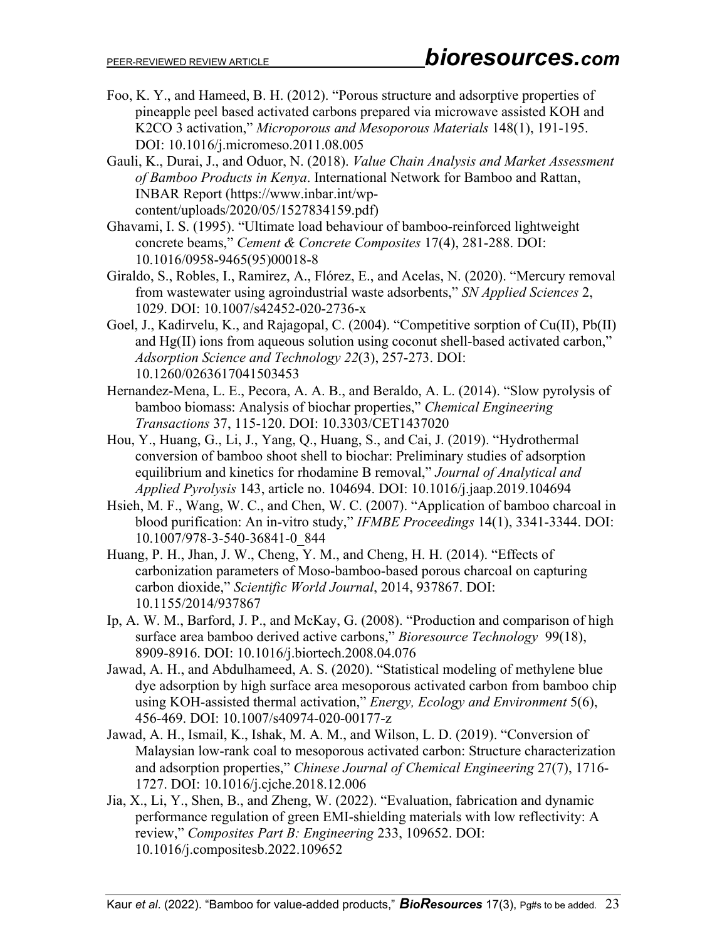- Foo, K. Y., and Hameed, B. H. (2012). "Porous structure and adsorptive properties of pineapple peel based activated carbons prepared via microwave assisted KOH and K2CO 3 activation," *Microporous and Mesoporous Materials* 148(1), 191-195. DOI: 10.1016/j.micromeso.2011.08.005
- Gauli, K., Durai, J., and Oduor, N. (2018). *Value Chain Analysis and Market Assessment of Bamboo Products in Kenya*. International Network for Bamboo and Rattan, INBAR Report (https://www.inbar.int/wpcontent/uploads/2020/05/1527834159.pdf)
- Ghavami, I. S. (1995). "Ultimate load behaviour of bamboo-reinforced lightweight concrete beams," *Cement & Concrete Composites* 17(4), 281-288. [DOI:](https://doi.org/10.1016/0958-9465(95)00018-8)  [10.1016/0958-9465\(95\)00018-8](https://doi.org/10.1016/0958-9465(95)00018-8)
- Giraldo, S., Robles, I., Ramirez, A., Flórez, E., and Acelas, N. (2020). "Mercury removal from wastewater using agroindustrial waste adsorbents," *SN Applied Sciences* 2, 1029. DOI: 10.1007/s42452-020-2736-x
- Goel, J., Kadirvelu, K., and Rajagopal, C. (2004). "Competitive sorption of Cu(II), Pb(II) and Hg(II) ions from aqueous solution using coconut shell-based activated carbon," *Adsorption Science and Technology 22*(3), 257-273. DOI: 10.1260/0263617041503453
- Hernandez-Mena, L. E., Pecora, A. A. B., and Beraldo, A. L. (2014). "Slow pyrolysis of bamboo biomass: Analysis of biochar properties," *Chemical Engineering Transactions* 37, 115-120. DOI: 10.3303/CET1437020
- Hou, Y., Huang, G., Li, J., Yang, Q., Huang, S., and Cai, J. (2019). "Hydrothermal conversion of bamboo shoot shell to biochar: Preliminary studies of adsorption equilibrium and kinetics for rhodamine B removal," *Journal of Analytical and Applied Pyrolysis* 143, article no. 104694. DOI: 10.1016/j.jaap.2019.104694
- Hsieh, M. F., Wang, W. C., and Chen, W. C. (2007). "Application of bamboo charcoal in blood purification: An in-vitro study," *IFMBE Proceedings* 14(1), 3341-3344. DOI: 10.1007/978-3-540-36841-0\_844
- Huang, P. H., Jhan, J. W., Cheng, Y. M., and Cheng, H. H. (2014). "Effects of carbonization parameters of Moso-bamboo-based porous charcoal on capturing carbon dioxide," *Scientific World Journal*, 2014, 937867. DOI: 10.1155/2014/937867
- Ip, A. W. M., Barford, J. P., and McKay, G. (2008). "Production and comparison of high surface area bamboo derived active carbons," *Bioresource Technology* 99(18), 8909-8916. DOI: 10.1016/j.biortech.2008.04.076
- Jawad, A. H., and Abdulhameed, A. S. (2020). "Statistical modeling of methylene blue dye adsorption by high surface area mesoporous activated carbon from bamboo chip using KOH-assisted thermal activation," *Energy, Ecology and Environment* 5(6), 456-469. DOI: 10.1007/s40974-020-00177-z
- Jawad, A. H., Ismail, K., Ishak, M. A. M., and Wilson, L. D. (2019). "Conversion of Malaysian low-rank coal to mesoporous activated carbon: Structure characterization and adsorption properties," *Chinese Journal of Chemical Engineering* 27(7), 1716- 1727. DOI: 10.1016/j.cjche.2018.12.006
- Jia, X., Li, Y., Shen, B., and Zheng, W. (2022). "Evaluation, fabrication and dynamic performance regulation of green EMI-shielding materials with low reflectivity: A review," *Composites Part B: Engineering* 233, 109652. DOI: 10.1016/j.compositesb.2022.109652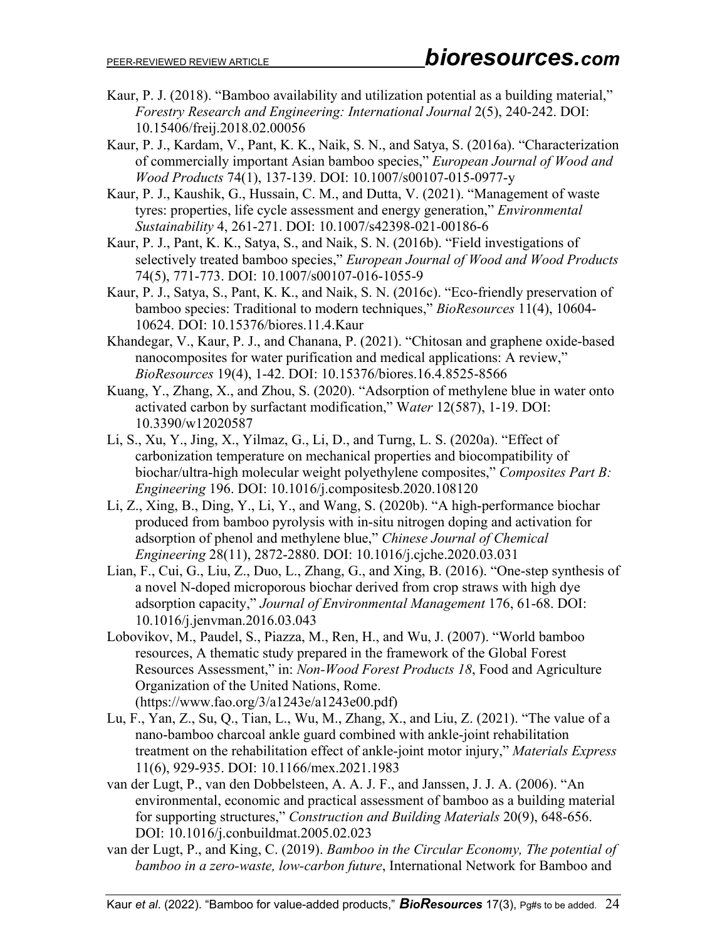- Kaur, P. J. (2018). "Bamboo availability and utilization potential as a building material," *Forestry Research and Engineering: International Journal* 2(5), 240-242. DOI: 10.15406/freij.2018.02.00056
- Kaur, P. J., Kardam, V., Pant, K. K., Naik, S. N., and Satya, S. (2016a). "Characterization of commercially important Asian bamboo species," *European Journal of Wood and Wood Products* 74(1), 137-139. DOI: 10.1007/s00107-015-0977-y
- Kaur, P. J., Kaushik, G., Hussain, C. M., and Dutta, V. (2021). "Management of waste tyres: properties, life cycle assessment and energy generation," *Environmental Sustainability* 4, 261-271. DOI: 10.1007/s42398-021-00186-6
- Kaur, P. J., Pant, K. K., Satya, S., and Naik, S. N. (2016b). "Field investigations of selectively treated bamboo species," *European Journal of Wood and Wood Products* 74(5), 771-773. DOI: 10.1007/s00107-016-1055-9
- Kaur, P. J., Satya, S., Pant, K. K., and Naik, S. N. (2016c). "Eco-friendly preservation of bamboo species: Traditional to modern techniques," *BioResources* 11(4), 10604- 10624. DOI: [10.15376/biores.11.4.Kaur](http://dx.doi.org/10.15376/biores.11.4.Kaur)
- Khandegar, V., Kaur, P. J., and Chanana, P. (2021). "Chitosan and graphene oxide-based nanocomposites for water purification and medical applications: A review," *BioResources* 19(4), 1-42. DOI: [10.15376/biores.16.4.8525-8566](http://dx.doi.org/10.15376/biores.16.4.8525-8566)
- Kuang, Y., Zhang, X., and Zhou, S. (2020). "Adsorption of methylene blue in water onto activated carbon by surfactant modification," W*ater* 12(587), 1-19. DOI: 10.3390/w12020587
- Li, S., Xu, Y., Jing, X., Yilmaz, G., Li, D., and Turng, L. S. (2020a). "Effect of carbonization temperature on mechanical properties and biocompatibility of biochar/ultra-high molecular weight polyethylene composites," *Composites Part B: Engineering* 196. DOI: 10.1016/j.compositesb.2020.108120
- Li, Z., Xing, B., Ding, Y., Li, Y., and Wang, S. (2020b). "A high-performance biochar produced from bamboo pyrolysis with in-situ nitrogen doping and activation for adsorption of phenol and methylene blue," *Chinese Journal of Chemical Engineering* 28(11), 2872-2880. DOI: 10.1016/j.cjche.2020.03.031
- Lian, F., Cui, G., Liu, Z., Duo, L., Zhang, G., and Xing, B. (2016). "One-step synthesis of a novel N-doped microporous biochar derived from crop straws with high dye adsorption capacity," *Journal of Environmental Management* 176, 61-68. DOI: 10.1016/j.jenvman.2016.03.043
- Lobovikov, M., Paudel, S., Piazza, M., Ren, H., and Wu, J. (2007). "World bamboo resources, A thematic study prepared in the framework of the Global Forest Resources Assessment," in: *Non-Wood Forest Products 18*, Food and Agriculture Organization of the United Nations, Rome. (https://www.fao.org/3/a1243e/a1243e00.pdf)
- Lu, F., Yan, Z., Su, Q., Tian, L., Wu, M., Zhang, X., and Liu, Z. (2021). "The value of a nano-bamboo charcoal ankle guard combined with ankle-joint rehabilitation treatment on the rehabilitation effect of ankle-joint motor injury," *Materials Express* 11(6), 929-935. DOI: 10.1166/mex.2021.1983
- van der Lugt, P., van den Dobbelsteen, A. A. J. F., and Janssen, J. J. A. (2006). "An environmental, economic and practical assessment of bamboo as a building material for supporting structures," *Construction and Building Materials* 20(9), 648-656. DOI: 10.1016/j.conbuildmat.2005.02.023
- van der Lugt, P., and King, C. (2019). *Bamboo in the Circular Economy, The potential of bamboo in a zero-waste, low-carbon future*, International Network for Bamboo and

Kaur *et al*. (2022). "Bamboo for value-added products," *BioResources* 17(3), Pg#s to be added. 24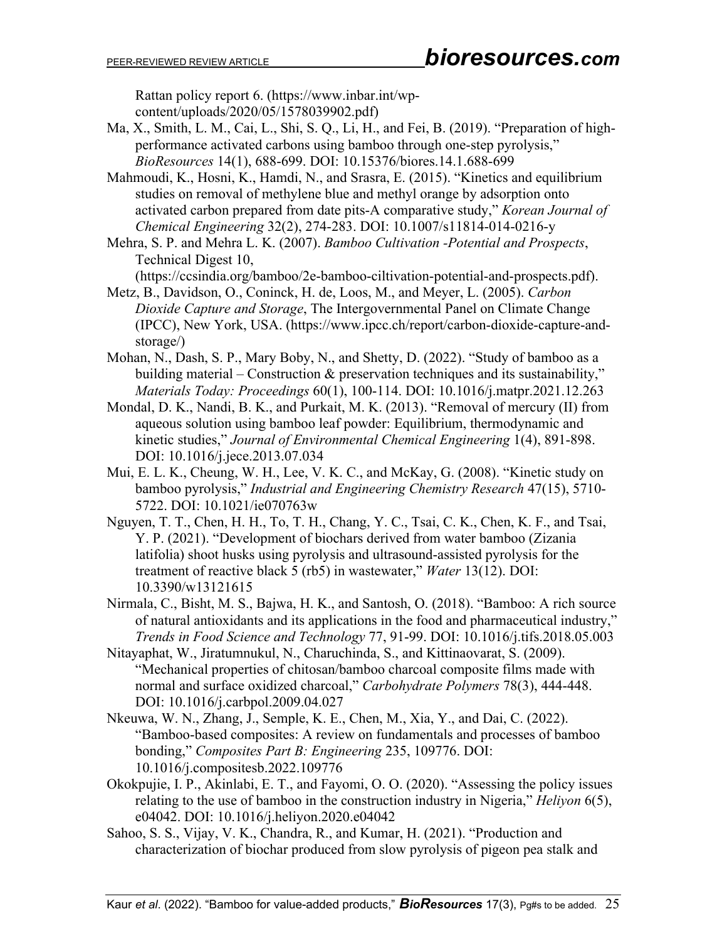Rattan policy report 6. (https://www.inbar.int/wpcontent/uploads/2020/05/1578039902.pdf)

Ma, X., Smith, L. M., Cai, L., Shi, S. Q., Li, H., and Fei, B. (2019). "Preparation of highperformance activated carbons using bamboo through one-step pyrolysis," *BioResources* 14(1), 688-699. DOI: 10.15376/biores.14.1.688-699

Mahmoudi, K., Hosni, K., Hamdi, N., and Srasra, E. (2015). "Kinetics and equilibrium studies on removal of methylene blue and methyl orange by adsorption onto activated carbon prepared from date pits-A comparative study," *Korean Journal of Chemical Engineering* 32(2), 274-283. DOI: 10.1007/s11814-014-0216-y

Mehra, S. P. and Mehra L. K. (2007). *Bamboo Cultivation -Potential and Prospects*, Technical Digest 10,

(https://ccsindia.org/bamboo/2e-bamboo-ciltivation-potential-and-prospects.pdf).

- Metz, B., Davidson, O., Coninck, H. de, Loos, M., and Meyer, L. (2005). *Carbon Dioxide Capture and Storage*, The Intergovernmental Panel on Climate Change (IPCC), New York, USA. (https://www.ipcc.ch/report/carbon-dioxide-capture-andstorage/)
- Mohan, N., Dash, S. P., Mary Boby, N., and Shetty, D. (2022). "Study of bamboo as a building material – Construction & preservation techniques and its sustainability," *Materials Today: Proceedings* 60(1), 100-114. DOI: 10.1016/j.matpr.2021.12.263
- Mondal, D. K., Nandi, B. K., and Purkait, M. K. (2013). "Removal of mercury (II) from aqueous solution using bamboo leaf powder: Equilibrium, thermodynamic and kinetic studies," *Journal of Environmental Chemical Engineering* 1(4), 891-898. DOI: 10.1016/j.jece.2013.07.034
- Mui, E. L. K., Cheung, W. H., Lee, V. K. C., and McKay, G. (2008). "Kinetic study on bamboo pyrolysis," *Industrial and Engineering Chemistry Research* 47(15), 5710- 5722. DOI: 10.1021/ie070763w
- Nguyen, T. T., Chen, H. H., To, T. H., Chang, Y. C., Tsai, C. K., Chen, K. F., and Tsai, Y. P. (2021). "Development of biochars derived from water bamboo (Zizania latifolia) shoot husks using pyrolysis and ultrasound-assisted pyrolysis for the treatment of reactive black 5 (rb5) in wastewater," *Water* 13(12). DOI: 10.3390/w13121615
- Nirmala, C., Bisht, M. S., Bajwa, H. K., and Santosh, O. (2018). "Bamboo: A rich source of natural antioxidants and its applications in the food and pharmaceutical industry," *Trends in Food Science and Technology* 77, 91-99. DOI: 10.1016/j.tifs.2018.05.003
- Nitayaphat, W., Jiratumnukul, N., Charuchinda, S., and Kittinaovarat, S. (2009). "Mechanical properties of chitosan/bamboo charcoal composite films made with normal and surface oxidized charcoal," *Carbohydrate Polymers* 78(3), 444-448. DOI: 10.1016/j.carbpol.2009.04.027
- Nkeuwa, W. N., Zhang, J., Semple, K. E., Chen, M., Xia, Y., and Dai, C. (2022). "Bamboo-based composites: A review on fundamentals and processes of bamboo bonding," *Composites Part B: Engineering* 235, 109776. DOI: 10.1016/j.compositesb.2022.109776
- Okokpujie, I. P., Akinlabi, E. T., and Fayomi, O. O. (2020). "Assessing the policy issues relating to the use of bamboo in the construction industry in Nigeria," *Heliyon* 6(5), e04042. DOI: 10.1016/j.heliyon.2020.e04042
- Sahoo, S. S., Vijay, V. K., Chandra, R., and Kumar, H. (2021). "Production and characterization of biochar produced from slow pyrolysis of pigeon pea stalk and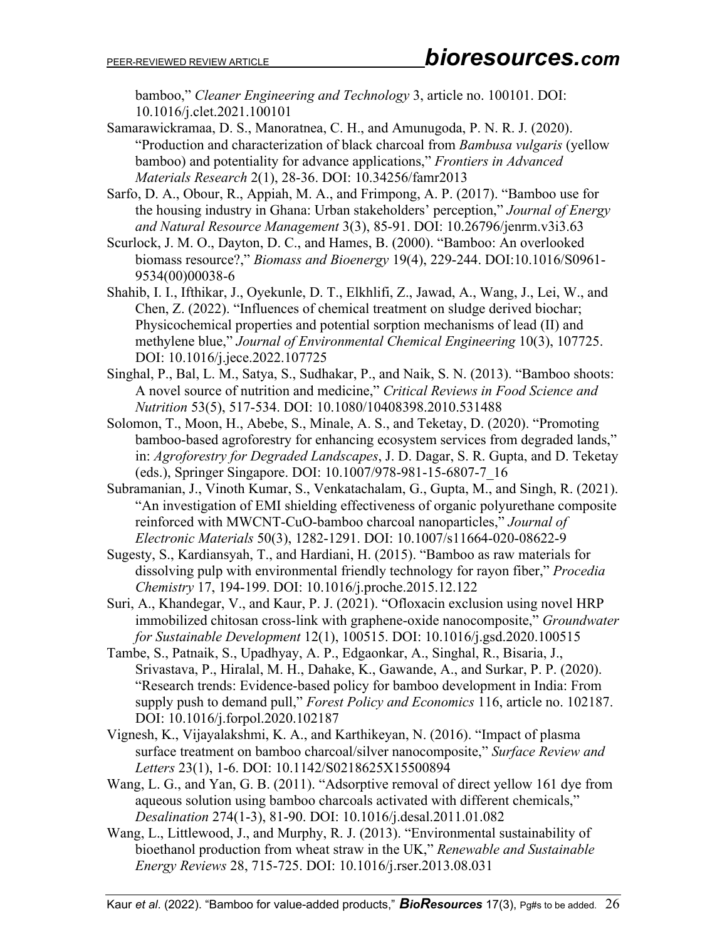bamboo," *Cleaner Engineering and Technology* 3, article no. 100101. DOI: 10.1016/j.clet.2021.100101

Samarawickramaa, D. S., Manoratnea, C. H., and Amunugoda, P. N. R. J. (2020). "Production and characterization of black charcoal from *Bambusa vulgaris* (yellow bamboo) and potentiality for advance applications," *Frontiers in Advanced Materials Research* 2(1), 28-36. DOI: 10.34256/famr2013

Sarfo, D. A., Obour, R., Appiah, M. A., and Frimpong, A. P. (2017). "Bamboo use for the housing industry in Ghana: Urban stakeholders' perception," *Journal of Energy and Natural Resource Management* 3(3), 85-91. DOI: 10.26796/jenrm.v3i3.63

Scurlock, J. M. O., Dayton, D. C., and Hames, B. (2000). "Bamboo: An overlooked biomass resource?," *Biomass and Bioenergy* 19(4), 229-244. [DOI:10.1016/S0961-](https://doi.org/10.1016/S0961-9534(00)00038-6) [9534\(00\)00038-6](https://doi.org/10.1016/S0961-9534(00)00038-6)

Shahib, I. I., Ifthikar, J., Oyekunle, D. T., Elkhlifi, Z., Jawad, A., Wang, J., Lei, W., and Chen, Z. (2022). "Influences of chemical treatment on sludge derived biochar; Physicochemical properties and potential sorption mechanisms of lead (II) and methylene blue," *Journal of Environmental Chemical Engineering* 10(3), 107725. DOI: 10.1016/j.jece.2022.107725

Singhal, P., Bal, L. M., Satya, S., Sudhakar, P., and Naik, S. N. (2013). "Bamboo shoots: A novel source of nutrition and medicine," *Critical Reviews in Food Science and Nutrition* 53(5), 517-534. DOI: 10.1080/10408398.2010.531488

- Solomon, T., Moon, H., Abebe, S., Minale, A. S., and Teketay, D. (2020). "Promoting bamboo-based agroforestry for enhancing ecosystem services from degraded lands," in: *Agroforestry for Degraded Landscapes*, J. D. Dagar, S. R. Gupta, and D. Teketay (eds.), Springer Singapore. DOI: 10.1007/978-981-15-6807-7\_16
- Subramanian, J., Vinoth Kumar, S., Venkatachalam, G., Gupta, M., and Singh, R. (2021). "An investigation of EMI shielding effectiveness of organic polyurethane composite reinforced with MWCNT-CuO-bamboo charcoal nanoparticles," *Journal of Electronic Materials* 50(3), 1282-1291. DOI: 10.1007/s11664-020-08622-9
- Sugesty, S., Kardiansyah, T., and Hardiani, H. (2015). "Bamboo as raw materials for dissolving pulp with environmental friendly technology for rayon fiber," *Procedia Chemistry* 17, 194-199. DOI: 10.1016/j.proche.2015.12.122

Suri, A., Khandegar, V., and Kaur, P. J. (2021). "Ofloxacin exclusion using novel HRP immobilized chitosan cross-link with graphene-oxide nanocomposite," *Groundwater for Sustainable Development* 12(1), 100515. DOI: 10.1016/j.gsd.2020.100515

- Tambe, S., Patnaik, S., Upadhyay, A. P., Edgaonkar, A., Singhal, R., Bisaria, J., Srivastava, P., Hiralal, M. H., Dahake, K., Gawande, A., and Surkar, P. P. (2020). "Research trends: Evidence-based policy for bamboo development in India: From supply push to demand pull," *Forest Policy and Economics* 116, article no. 102187. DOI: 10.1016/j.forpol.2020.102187
- Vignesh, K., Vijayalakshmi, K. A., and Karthikeyan, N. (2016). "Impact of plasma surface treatment on bamboo charcoal/silver nanocomposite," *Surface Review and Letters* 23(1), 1-6. DOI: 10.1142/S0218625X15500894
- Wang, L. G., and Yan, G. B. (2011). "Adsorptive removal of direct yellow 161 dye from aqueous solution using bamboo charcoals activated with different chemicals," *Desalination* 274(1-3), 81-90. DOI: 10.1016/j.desal.2011.01.082
- Wang, L., Littlewood, J., and Murphy, R. J. (2013). "Environmental sustainability of bioethanol production from wheat straw in the UK," *Renewable and Sustainable Energy Reviews* 28, 715-725. DOI: 10.1016/j.rser.2013.08.031